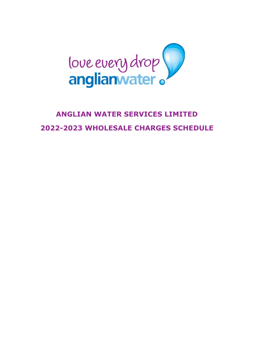

# **ANGLIAN WATER SERVICES LIMITED 2022-2023 WHOLESALE CHARGES SCHEDULE**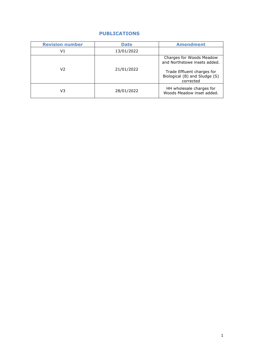# **PUBLICATIONS**

| <b>Revision number</b> | <b>Date</b> | <b>Amendment</b>                                                                                                                     |  |
|------------------------|-------------|--------------------------------------------------------------------------------------------------------------------------------------|--|
| V1                     | 13/01/2022  |                                                                                                                                      |  |
| V2                     | 21/01/2022  | Charges for Woods Meadow<br>and Northstowe insets added.<br>Trade Effluent charges for<br>Biological (B) and Sludge (S)<br>corrected |  |
| V3                     | 28/01/2022  | HH wholesale charges for<br>Woods Meadow inset added.                                                                                |  |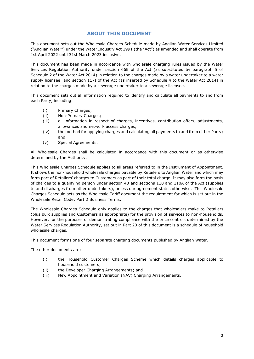## **ABOUT THIS DOCUMENT**

This document sets out the Wholesale Charges Schedule made by Anglian Water Services Limited ("Anglian Water") under the Water Industry Act 1991 (the "Act") as amended and shall operate from 1st April 2022 until 31st March 2023 inclusive.

This document has been made in accordance with wholesale charging rules issued by the Water Services Regulation Authority under section 66E of the Act (as substituted by paragraph 5 of Schedule 2 of the Water Act 2014) in relation to the charges made by a water undertaker to a water supply licensee; and section 117I of the Act (as inserted by Schedule 4 to the Water Act 2014) in relation to the charges made by a sewerage undertaker to a sewerage licensee.

This document sets out all information required to identify and calculate all payments to and from each Party, including:

- (i) Primary Charges;
- (ii) Non-Primary Charges;
- (iii) all information in respect of charges, incentives, contribution offers, adjustments, allowances and network access charges;
- (iv) the method for applying charges and calculating all payments to and from either Party; and
- (v) Special Agreements.

All Wholesale Charges shall be calculated in accordance with this document or as otherwise determined by the Authority.

This Wholesale Charges Schedule applies to all areas referred to in the Instrument of Appointment. It shows the non-household wholesale charges payable by Retailers to Anglian Water and which may form part of Retailers' charges to Customers as part of their total charge. It may also form the basis of charges to a qualifying person under section 40 and sections 110 and 110A of the Act (supplies to and discharges from other undertakers), unless our agreement states otherwise. This Wholesale Charges Schedule acts as the Wholesale Tariff document the requirement for which is set out in the Wholesale Retail Code: Part 2 Business Terms.

The Wholesale Charges Schedule only applies to the charges that wholesalers make to Retailers (plus bulk supplies and Customers as appropriate) for the provision of services to non-households. However, for the purposes of demonstrating compliance with the price controls determined by the Water Services Regulation Authority, set out in Part 20 of this document is a schedule of household wholesale charges.

This document forms one of four separate charging documents published by Anglian Water.

The other documents are:

- (i) the Household Customer Charges Scheme which details charges applicable to household customers;
- (ii) the Developer Charging Arrangements; and
- (iii) New Appointment and Variation (NAV) Charging Arrangements.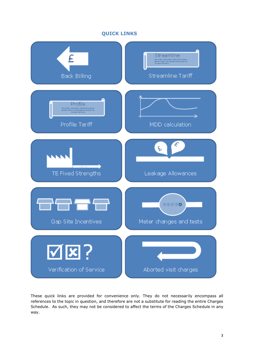## **QUICK LINKS**



These quick links are provided for convenience only. They do not necessarily encompass all references to the topic in question, and therefore are not a substitute for reading the entire Charges Schedule. As such, they may not be considered to affect the terms of the Charges Schedule in any way.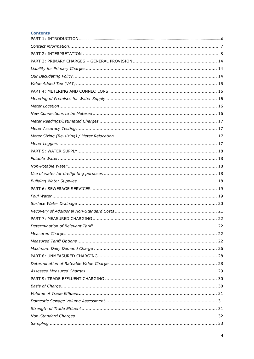## **Contents**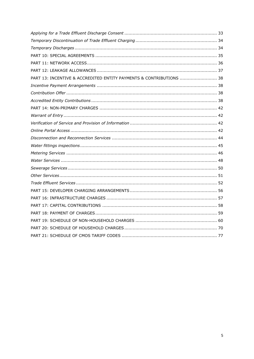| PART 13: INCENTIVE & ACCREDITED ENTITY PAYMENTS & CONTRIBUTIONS  38 |
|---------------------------------------------------------------------|
|                                                                     |
|                                                                     |
|                                                                     |
|                                                                     |
|                                                                     |
|                                                                     |
|                                                                     |
|                                                                     |
|                                                                     |
|                                                                     |
|                                                                     |
|                                                                     |
|                                                                     |
|                                                                     |
|                                                                     |
|                                                                     |
|                                                                     |
|                                                                     |
|                                                                     |
|                                                                     |
|                                                                     |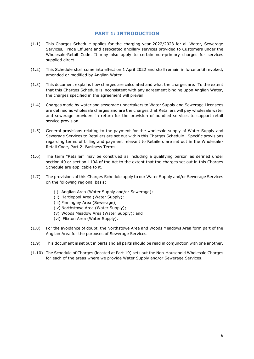## **PART 1: INTRODUCTION**

- <span id="page-6-0"></span>(1.1) This Charges Schedule applies for the charging year 2022/2023 for all Water, Sewerage Services, Trade Effluent and associated ancillary services provided to Customers under the Wholesale-Retail Code. It may also apply to certain non-primary charges for services supplied direct.
- (1.2) This Schedule shall come into effect on 1 April 2022 and shall remain in force until revoked, amended or modified by Anglian Water.
- (1.3) This document explains how charges are calculated and what the charges are. To the extent that this Charges Schedule is inconsistent with any agreement binding upon Anglian Water, the charges specified in the agreement will prevail.
- (1.4) Charges made by water and sewerage undertakers to Water Supply and Sewerage Licensees are defined as wholesale charges and are the charges that Retailers will pay wholesale water and sewerage providers in return for the provision of bundled services to support retail service provision.
- (1.5) General provisions relating to the payment for the wholesale supply of Water Supply and Sewerage Services to Retailers are set out within this Charges Schedule. Specific provisions regarding terms of billing and payment relevant to Retailers are set out in the Wholesale-Retail Code, Part 2: Business Terms.
- (1.6) The term "Retailer" may be construed as including a qualifying person as defined under section 40 or section 110A of the Act to the extent that the charges set out in this Charges Schedule are applicable to it.
- (1.7) The provisions of this Charges Schedule apply to our Water Supply and/or Sewerage Services on the following regional basis:
	- (i) Anglian Area (Water Supply and/or Sewerage);
	- (ii) Hartlepool Area (Water Supply);
	- (iii) Finningley Area (Sewerage);
	- (iv) Northstowe Area (Water Supply);
	- (v) Woods Meadow Area (Water Supply); and
	- (vi) Flixton Area (Water Supply).
- (1.8) For the avoidance of doubt, the Northstowe Area and Woods Meadows Area form part of the Anglian Area for the purposes of Sewerage Services.
- (1.9) This document is set out in parts and all parts should be read in conjunction with one another.
- (1.10) The Schedule of Charges (located at Part 19) sets out the Non-Household Wholesale Charges for each of the areas where we provide Water Supply and/or Sewerage Services.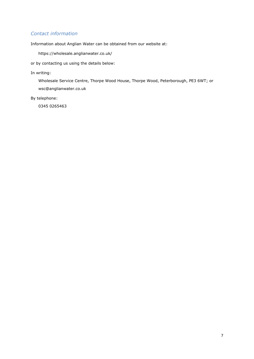# <span id="page-7-0"></span>*Contact information*

Information about Anglian Water can be obtained from our website at:

https://wholesale.anglianwater.co.uk/

or by contacting us using the details below:

## In writing:

Wholesale Service Centre, Thorpe Wood House, Thorpe Wood, Peterborough, PE3 6WT; or wsc@anglianwater.co.uk

By telephone:

0345 0265463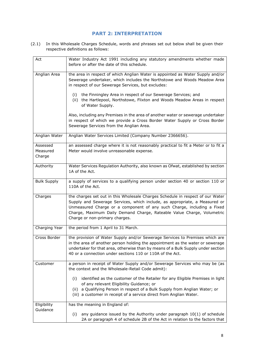# **PART 2: INTERPRETATION**

<span id="page-8-0"></span>(2.1) In this Wholesale Charges Schedule, words and phrases set out below shall be given their respective definitions as follows:

| Act                            | Water Industry Act 1991 including any statutory amendments whether made                                                                                                                                                                                                                                                                            |
|--------------------------------|----------------------------------------------------------------------------------------------------------------------------------------------------------------------------------------------------------------------------------------------------------------------------------------------------------------------------------------------------|
|                                | before or after the date of this schedule.                                                                                                                                                                                                                                                                                                         |
| Anglian Area                   | the area in respect of which Anglian Water is appointed as Water Supply and/or<br>Sewerage undertaker, which includes the Northstowe and Woods Meadow Area<br>in respect of our Sewerage Services, but excludes:                                                                                                                                   |
|                                | the Finningley Area in respect of our Sewerage Services; and<br>(i)<br>(ii) the Hartlepool, Northstowe, Flixton and Woods Meadow Areas in respect<br>of Water Supply.                                                                                                                                                                              |
|                                | Also, including any Premises in the area of another water or sewerage undertaker<br>in respect of which we provide a Cross Border Water Supply or Cross Border<br>Sewerage Services from the Anglian Area.                                                                                                                                         |
| Anglian Water                  | Anglian Water Services Limited (Company Number 2366656).                                                                                                                                                                                                                                                                                           |
| Assessed<br>Measured<br>Charge | an assessed charge where it is not reasonably practical to fit a Meter or to fit a<br>Meter would involve unreasonable expense.                                                                                                                                                                                                                    |
| Authority                      | Water Services Regulation Authority, also known as Ofwat, established by section<br>1A of the Act.                                                                                                                                                                                                                                                 |
| <b>Bulk Supply</b>             | a supply of services to a qualifying person under section 40 or section 110 or<br>110A of the Act.                                                                                                                                                                                                                                                 |
| Charges                        | the charges set out in this Wholesale Charges Schedule in respect of our Water<br>Supply and Sewerage Services, which include, as appropriate, a Measured or<br>Unmeasured Charge or a component of any such Charge, including a Fixed<br>Charge, Maximum Daily Demand Charge, Rateable Value Charge, Volumetric<br>Charge or non-primary charges. |
| Charging Year                  | the period from 1 April to 31 March.                                                                                                                                                                                                                                                                                                               |
| Cross Border                   | the provision of Water Supply and/or Sewerage Services to Premises which are<br>in the area of another person holding the appointment as the water or sewerage<br>undertaker for that area, otherwise than by means of a Bulk Supply under section<br>40 or a connection under sections 110 or 110A of the Act.                                    |
| Customer                       | a person in receipt of Water Supply and/or Sewerage Services who may be (as<br>the context and the Wholesale-Retail Code admit):                                                                                                                                                                                                                   |
|                                | identified as the customer of the Retailer for any Eligible Premises in light<br>(i)<br>of any relevant Eligibility Guidance; or<br>a Qualifying Person in respect of a Bulk Supply from Anglian Water; or<br>(ii)<br>(iii) a customer in receipt of a service direct from Anglian Water.                                                          |
| Eligibility                    | has the meaning in England of:                                                                                                                                                                                                                                                                                                                     |
| Guidance                       | any guidance issued by the Authority under paragraph $10(1)$ of schedule<br>(i)<br>2A or paragraph 4 of schedule 2B of the Act in relation to the factors that                                                                                                                                                                                     |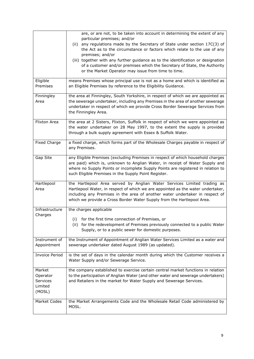|                       | are, or are not, to be taken into account in determining the extent of any                                                                                 |
|-----------------------|------------------------------------------------------------------------------------------------------------------------------------------------------------|
|                       | particular premises; and/or                                                                                                                                |
|                       | any regulations made by the Secretary of State under section 17C(3) of<br>(ii)<br>the Act as to the circumstance or factors which relate to the use of any |
|                       | premises; and/or                                                                                                                                           |
|                       | (iii) together with any further guidance as to the identification or designation                                                                           |
|                       | of a customer and/or premises which the Secretary of State, the Authority                                                                                  |
|                       | or the Market Operator may issue from time to time.                                                                                                        |
| Eligible              | means Premises whose principal use is not as a home and which is identified as                                                                             |
| Premises              | an Eligible Premises by reference to the Eligibility Guidance.                                                                                             |
| Finningley            | the area at Finningley, South Yorkshire, in respect of which we are appointed as                                                                           |
| Area                  | the sewerage undertaker, including any Premises in the area of another sewerage                                                                            |
|                       | undertaker in respect of which we provide Cross Border Sewerage Services from<br>the Finningley Area.                                                      |
|                       |                                                                                                                                                            |
| Flixton Area          | the area at 2 Sisters, Flixton, Suffolk in respect of which we were appointed as                                                                           |
|                       | the water undertaker on 28 May 1997, to the extent the supply is provided                                                                                  |
|                       | through a bulk supply agreement with Essex & Suffolk Water.                                                                                                |
| <b>Fixed Charge</b>   | a fixed charge, which forms part of the Wholesale Charges payable in respect of                                                                            |
|                       | any Premises.                                                                                                                                              |
| Gap Site              | any Eligible Premises (excluding Premises in respect of which household charges                                                                            |
|                       | are paid) which is, unknown to Anglian Water, in receipt of Water Supply and                                                                               |
|                       | where no Supply Points or incomplete Supply Points are registered in relation to                                                                           |
|                       | such Eligible Premises in the Supply Point Register.                                                                                                       |
| Hartlepool            | the Hartlepool Area served by Anglian Water Services Limited trading as                                                                                    |
| Area                  | Hartlepool Water, in respect of which we are appointed as the water undertaker,                                                                            |
|                       | including any Premises in the area of another water undertaker in respect of                                                                               |
|                       | which we provide a Cross Border Water Supply from the Hartlepool Area.                                                                                     |
| Infrastructure        | the charges applicable                                                                                                                                     |
| Charges               |                                                                                                                                                            |
|                       | (i)<br>for the first time connection of Premises, or                                                                                                       |
|                       | (ii) for the redevelopment of Premises previously connected to a public Water<br>Supply, or to a public sewer for domestic purposes.                       |
|                       |                                                                                                                                                            |
| Instrument of         | the Instrument of Appointment of Anglian Water Services Limited as a water and                                                                             |
| Appointment           | sewerage undertaker dated August 1989 (as updated).                                                                                                        |
| <b>Invoice Period</b> | is the set of days in the calendar month during which the Customer receives a                                                                              |
|                       | Water Supply and/or Sewerage Service.                                                                                                                      |
| Market                | the company established to exercise certain central market functions in relation                                                                           |
| Operator              | to the participation of Anglian Water (and other water and sewerage undertakers)                                                                           |
| Services              | and Retailers in the market for Water Supply and Sewerage Services.                                                                                        |
| Limited               |                                                                                                                                                            |
| (MOSL)                |                                                                                                                                                            |
| Market Codes          | the Market Arrangements Code and the Wholesale Retail Code administered by                                                                                 |
|                       | MOSL.                                                                                                                                                      |
|                       |                                                                                                                                                            |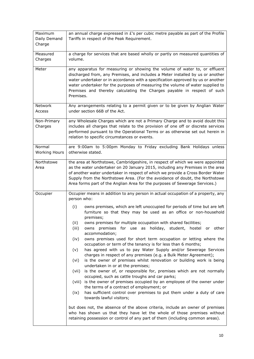| Maximum<br>Daily Demand<br>Charge | an annual charge expressed in $E$ 's per cubic metre payable as part of the Profile<br>Tariffs in respect of the Peak Requirement.                                                                                                                                                                                                                                                                                                                                                                                                                                                                                                                                                                                                                                                                                                                                                                                                                                                                                                                                                                                                                                                                                                                                                                                                                                                                                                                                                        |  |  |
|-----------------------------------|-------------------------------------------------------------------------------------------------------------------------------------------------------------------------------------------------------------------------------------------------------------------------------------------------------------------------------------------------------------------------------------------------------------------------------------------------------------------------------------------------------------------------------------------------------------------------------------------------------------------------------------------------------------------------------------------------------------------------------------------------------------------------------------------------------------------------------------------------------------------------------------------------------------------------------------------------------------------------------------------------------------------------------------------------------------------------------------------------------------------------------------------------------------------------------------------------------------------------------------------------------------------------------------------------------------------------------------------------------------------------------------------------------------------------------------------------------------------------------------------|--|--|
| Measured<br>Charges               | a charge for services that are based wholly or partly on measured quantities of<br>volume.                                                                                                                                                                                                                                                                                                                                                                                                                                                                                                                                                                                                                                                                                                                                                                                                                                                                                                                                                                                                                                                                                                                                                                                                                                                                                                                                                                                                |  |  |
| Meter                             | any apparatus for measuring or showing the volume of water to, or effluent<br>discharged from, any Premises, and includes a Meter installed by us or another<br>water undertaker or in accordance with a specification approved by us or another<br>water undertaker for the purposes of measuring the volume of water supplied to<br>Premises and thereby calculating the Charges payable in respect of such<br>Premises.                                                                                                                                                                                                                                                                                                                                                                                                                                                                                                                                                                                                                                                                                                                                                                                                                                                                                                                                                                                                                                                                |  |  |
| <b>Network</b><br>Access          | Any arrangements relating to a permit given or to be given by Anglian Water<br>under section 66B of the Act.                                                                                                                                                                                                                                                                                                                                                                                                                                                                                                                                                                                                                                                                                                                                                                                                                                                                                                                                                                                                                                                                                                                                                                                                                                                                                                                                                                              |  |  |
| Non-Primary<br>Charges            | any Wholesale Charges which are not a Primary Charge and to avoid doubt this<br>includes all charges that relate to the provision of one off or discrete services<br>performed pursuant to the Operational Terms or as otherwise set out herein in<br>relation to specific circumstances or events.                                                                                                                                                                                                                                                                                                                                                                                                                                                                                                                                                                                                                                                                                                                                                                                                                                                                                                                                                                                                                                                                                                                                                                                       |  |  |
| Normal<br><b>Working Hours</b>    | are 9:00am to 5:00pm Monday to Friday excluding Bank Holidays unless<br>otherwise stated.                                                                                                                                                                                                                                                                                                                                                                                                                                                                                                                                                                                                                                                                                                                                                                                                                                                                                                                                                                                                                                                                                                                                                                                                                                                                                                                                                                                                 |  |  |
| Northstowe<br>Area                | the area at Northstowe, Cambridgeshire, in respect of which we were appointed<br>as the water undertaker on 20 January 2015, including any Premises in the area<br>of another water undertaker in respect of which we provide a Cross Border Water<br>Supply from the Northstowe Area. (For the avoidance of doubt, the Northstowe<br>Area forms part of the Anglian Area for the purposes of Sewerage Services.)                                                                                                                                                                                                                                                                                                                                                                                                                                                                                                                                                                                                                                                                                                                                                                                                                                                                                                                                                                                                                                                                         |  |  |
| Occupier                          | Occupier means in addition to any person in actual occupation of a property, any<br>person who:<br>owns premises, which are left unoccupied for periods of time but are left<br>(i)<br>furniture so that they may be used as an office or non-household<br>premises;<br>owns premises for multiple occupation with shared facilities;<br>(ii)<br>for use as holiday, student, hostel or other<br>(iii)<br>premises<br>owns<br>accommodation;<br>owns premises used for short term occupation or letting where the<br>(iv)<br>occupation or term of the tenancy is for less than 6 months;<br>has agreed with us to pay Water Supply and/or Sewerage Services<br>(v)<br>charges in respect of any premises (e.g. a Bulk Meter Agreement);<br>is the owner of premises whilst renovation or building work is being<br>(vi)<br>undertaken in or at the premises;<br>is the owner of, or responsible for, premises which are not normally<br>(vii)<br>occupied, such as cattle troughs and car parks;<br>is the owner of premises occupied by an employee of the owner under<br>(viii)<br>the terms of a contract of employment; or<br>has sufficient control over premises to put them under a duty of care<br>(ix)<br>towards lawful visitors;<br>but does not, the absence of the above criteria, include an owner of premises<br>who has shown us that they have let the whole of those premises without<br>retaining possession or control of any part of them (including common areas). |  |  |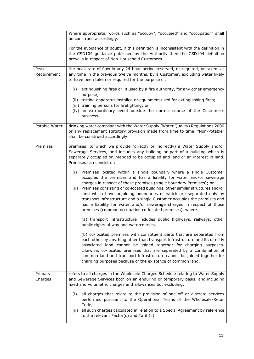|                     | Where appropriate, words such as "occupy", "occupied" and "occupation" shall<br>be construed accordingly.                                                                                                                                                                                                                                                                                                                                                                                                                                                                                           |
|---------------------|-----------------------------------------------------------------------------------------------------------------------------------------------------------------------------------------------------------------------------------------------------------------------------------------------------------------------------------------------------------------------------------------------------------------------------------------------------------------------------------------------------------------------------------------------------------------------------------------------------|
|                     | For the avoidance of doubt, if this definition is inconsistent with the definition in<br>the CSD104 guidance published by the Authority then the CSD104 definition<br>prevails in respect of Non-Household Customers.                                                                                                                                                                                                                                                                                                                                                                               |
| Peak<br>Requirement | the peak rate of flow in any 24 hour period reserved, or required, or taken, at<br>any time in the previous twelve months, by a Customer, excluding water likely<br>to have been taken or required for the purpose of:                                                                                                                                                                                                                                                                                                                                                                              |
|                     | extinguishing fires or, if used by a fire authority, for any other emergency<br>(i)<br>purpose;                                                                                                                                                                                                                                                                                                                                                                                                                                                                                                     |
|                     | (ii) testing apparatus installed or equipment used for extinguishing fires;<br>(iii) training persons for firefighting; or<br>(iv) an extraordinary event outside the normal course of the Customer's<br>business.                                                                                                                                                                                                                                                                                                                                                                                  |
| Potable Water       | drinking water compliant with the Water Supply (Water Quality) Regulations 2000<br>or any replacement statutory provision made from time to time. "Non-Potable"<br>shall be construed accordingly.                                                                                                                                                                                                                                                                                                                                                                                                  |
| Premises            | premises, to which we provide (directly or indirectly) a Water Supply and/or<br>Sewerage Services, and includes any building or part of a building which is<br>separately occupied or intended to be occupied and land or an interest in land.<br>Premises can consist of:                                                                                                                                                                                                                                                                                                                          |
|                     | Premises located within a single boundary where a single Customer<br>(i)<br>occupies the premises and has a liability for water and/or sewerage<br>charges in respect of those premises (single boundary Premises); or<br>(ii) Premises consisting of co-located buildings, other similar structures and/or<br>land which have adjoining boundaries or which are separated only by<br>transport infrastructure and a single Customer occupies the premises and<br>has a liability for water and/or sewerage charges in respect of those<br>premises (common occupation co-located premises), where: |
|                     | (a) transport infrastructure includes public highways, railways, other<br>public rights of way and watercourses.                                                                                                                                                                                                                                                                                                                                                                                                                                                                                    |
|                     | (b) co-located premises with constituent parts that are separated from<br>each other by anything other than transport infrastructure and its directly<br>associated land cannot be joined together for charging purposes.<br>Likewise, co-located premises that are separated by a combination of<br>common land and transport infrastructure cannot be joined together for<br>charging purposes because of the existence of common land.                                                                                                                                                           |
| Primary<br>Charges  | refers to all charges in the Wholesale Charges Schedule relating to Water Supply<br>and Sewerage Services both on an enduring or temporary basis, and including<br>fixed and volumetric charges and allowances but excluding,                                                                                                                                                                                                                                                                                                                                                                       |
|                     | all charges that relate to the provision of one off or discrete services<br>(i)<br>performed pursuant to the Operational Terms of the Wholesale-Retail<br>Code,<br>all such charges calculated in relation to a Special Agreement by reference<br>(ii)<br>to the relevant Factor(s) and Tariff(s).                                                                                                                                                                                                                                                                                                  |
|                     |                                                                                                                                                                                                                                                                                                                                                                                                                                                                                                                                                                                                     |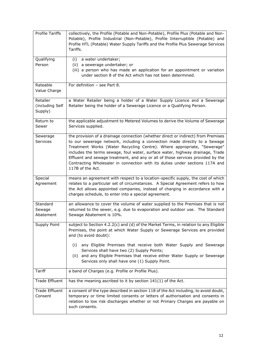| <b>Profile Tariffs</b>                 | collectively, the Profile (Potable and Non-Potable), Profile Plus (Potable and Non-<br>Potable), Profile Industrial (Non-Potable), Profile Interruptible (Potable) and<br>Profile HTL (Potable) Water Supply Tariffs and the Profile Plus Sewerage Services<br>Tariffs.                                                                                                                                                                                                                                           |
|----------------------------------------|-------------------------------------------------------------------------------------------------------------------------------------------------------------------------------------------------------------------------------------------------------------------------------------------------------------------------------------------------------------------------------------------------------------------------------------------------------------------------------------------------------------------|
| Qualifying<br>Person                   | a water undertaker;<br>(i)<br>(ii) a sewerage undertaker; or<br>(iii) a person who has made an application for an appointment or variation<br>under section 8 of the Act which has not been determined.                                                                                                                                                                                                                                                                                                           |
| Rateable<br>Value Charge               | For definition $-$ see Part 8.                                                                                                                                                                                                                                                                                                                                                                                                                                                                                    |
| Retailer<br>(including Self<br>Supply) | a Water Retailer being a holder of a Water Supply Licence and a Sewerage<br>Retailer being the holder of a Sewerage Licence or a Qualifying Person.                                                                                                                                                                                                                                                                                                                                                               |
| Return to<br>Sewer                     | the applicable adjustment to Metered Volumes to derive the Volume of Sewerage<br>Services supplied.                                                                                                                                                                                                                                                                                                                                                                                                               |
| Sewerage<br><b>Services</b>            | the provision of a drainage connection (whether direct or indirect) from Premises<br>to our sewerage network, including a connection made directly to a Sewage<br>Treatment Works (Water Recycling Centre). Where appropriate, "Sewerage"<br>includes the terms sewage, foul water, surface water, highway drainage, Trade<br>Effluent and sewage treatment, and any or all of those services provided by the<br>Contracting Wholesaler in connection with its duties under sections 117A and<br>117B of the Act. |
| Special<br>Agreement                   | means an agreement with respect to a location-specific supply, the cost of which<br>relates to a particular set of circumstances. A Special Agreement refers to how<br>the Act allows appointed companies, instead of charging in accordance with a<br>charges schedule, to enter into a special agreement.                                                                                                                                                                                                       |
| Standard<br>Sewage<br>Abatement        | an allowance to cover the volume of water supplied to the Premises that is not<br>returned to the sewer, e.g. due to evaporation and outdoor use. The Standard<br>Sewage Abatement is 10%.                                                                                                                                                                                                                                                                                                                        |
| Supply Point                           | subject to Section 4.2.2(c) and (d) of the Market Terms, in relation to any Eligible<br>Premises, the point at which Water Supply or Sewerage Services are provided<br>and (to avoid doubt):<br>any Eligible Premises that receive both Water Supply and Sewerage<br>(i)<br>Services shall have two (2) Supply Points;<br>and any Eligible Premises that receive either Water Supply or Sewerage<br>(ii)<br>Services only shall have one (1) Supply Point.                                                        |
| Tariff                                 | a band of Charges (e.g. Profile or Profile Plus).                                                                                                                                                                                                                                                                                                                                                                                                                                                                 |
| <b>Trade Effluent</b>                  | has the meaning ascribed to it by section 141(1) of the Act.                                                                                                                                                                                                                                                                                                                                                                                                                                                      |
| <b>Trade Effluent</b><br>Consent       | a consent of the type described in section 118 of the Act including, to avoid doubt,<br>temporary or time limited consents or letters of authorisation and consents in<br>relation to low risk discharges whether or not Primary Charges are payable on<br>such consents.                                                                                                                                                                                                                                         |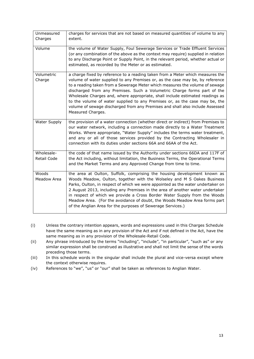| Unmeasured<br>Charges     | charges for services that are not based on measured quantities of volume to any<br>extent.                                                                                                                                                                                                                                                                                                                                                                                                                                                                                                        |
|---------------------------|---------------------------------------------------------------------------------------------------------------------------------------------------------------------------------------------------------------------------------------------------------------------------------------------------------------------------------------------------------------------------------------------------------------------------------------------------------------------------------------------------------------------------------------------------------------------------------------------------|
| Volume                    | the volume of Water Supply, Foul Sewerage Services or Trade Effluent Services<br>(or any combination of the above as the context may require) supplied in relation<br>to any Discharge Point or Supply Point, in the relevant period, whether actual or<br>estimated, as recorded by the Meter or as estimated.                                                                                                                                                                                                                                                                                   |
| Volumetric<br>Charge      | a charge fixed by reference to a reading taken from a Meter which measures the<br>volume of water supplied to any Premises or, as the case may be, by reference<br>to a reading taken from a Sewerage Meter which measures the volume of sewage<br>discharged from any Premises. Such a Volumetric Charge forms part of the<br>Wholesale Charges and, where appropriate, shall include estimated readings as<br>to the volume of water supplied to any Premises or, as the case may be, the<br>volume of sewage discharged from any Premises and shall also include Assessed<br>Measured Charges. |
| Water Supply              | the provision of a water connection (whether direct or indirect) from Premises to<br>our water network, including a connection made directly to a Water Treatment<br>Works. Where appropriate, "Water Supply" includes the terms water treatment,<br>and any or all of those services provided by the Contracting Wholesaler in<br>connection with its duties under sections 66A and 66AA of the Act.                                                                                                                                                                                             |
| Wholesale-<br>Retail Code | the code of that name issued by the Authority under sections 66DA and 117F of<br>the Act including, without limitation, the Business Terms, the Operational Terms<br>and the Market Terms and any Approved Change from time to time.                                                                                                                                                                                                                                                                                                                                                              |
| Woods<br>Meadow Area      | the area at Oulton, Suffolk, comprising the housing development known as<br>Woods Meadow, Oulton, together with the Wolseley and M S Oakes Business<br>Parks, Oulton, in respect of which we were appointed as the water undertaker on<br>2 August 2013, including any Premises in the area of another water undertaker<br>in respect of which we provide a Cross Border Water Supply from the Woods<br>Meadow Area. (For the avoidance of doubt, the Woods Meadow Area forms part<br>of the Anglian Area for the purposes of Sewerage Services.)                                                 |

- (i) Unless the contrary intention appears, words and expressions used in this Charges Schedule have the same meaning as in any provision of the Act and if not defined in the Act, have the same meaning as in any provision of the Wholesale-Retail Code.
- (ii) Any phrase introduced by the terms "including", "include", "in particular", "such as" or any similar expression shall be construed as illustrative and shall not limit the sense of the words preceding those terms.
- (iii) In this schedule words in the singular shall include the plural and vice-versa except where the context otherwise requires.
- (iv) References to "we", "us" or "our" shall be taken as references to Anglian Water.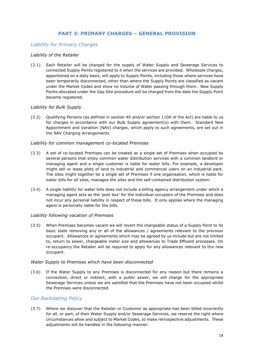## **PART 3: PRIMARY CHARGES – GENERAL PROVISION**

## <span id="page-14-2"></span><span id="page-14-1"></span>*Liability for Primary Charges*

#### *Liability of the Retailer*

<span id="page-14-0"></span>(3.1) Each Retailer will be charged for the supply of Water Supply and Sewerage Services to connected Supply Points registered to it when the services are provided. Wholesale charges, apportioned on a daily basis, will apply to Supply Points, including those where services have been temporarily disconnected, other than where the Supply Points are classified as vacant under the Market Codes and show no Volume of Water passing through them. New Supply Points allocated under the Gap Site procedure will be charged from the date the Supply Point became registered.

## *Liability for Bulk Supply*

(3.2) Qualifying Persons (as defined in section 40 and/or section 110A of the Act) are liable to us for charges in accordance with our Bulk Supply agreement(s) with them. Standard New Appointment and Variation (NAV) charges, which apply to such agreements, are set out in the NAV Charging Arrangements.

#### *Liability for common management co-located Premises*

- (3.3) A set of co-located Premises can be treated as a single set of Premises when occupied by several persons that enjoy common water distribution services with a common landlord or managing agent and a single customer is liable for water bills. For example, a developer might sell or lease plots of land to industrial and commercial users on an industrial park. The sites might together be a single set of Premises if one organisation, which is liable for water bills for all sites, manages the sites and the self-contained distribution system.
- (3.4) A single liability for water bills does not include a billing agency arrangement under which a managing agent acts as the 'post box' for the individual occupiers of the Premises and does not incur any personal liability in respect of those bills. It only applies where the managing agent is personally liable for the bills.

## *Liability following vacation of Premises*

(3.5) When Premises becomes vacant we will revert the chargeable status of a Supply Point to its basic state removing any or all of the allowances / agreements relevant to the previous occupant. Allowances or agreements which may be agreed by us include but are not limited to, return to sewer, chargeable meter size and allowances to Trade Effluent processes. On re-occupancy the Retailer will be required to apply for any allowances relevant to the new occupant.

## *Water Supply to Premises which have been disconnected*

(3.6) If the Water Supply to any Premises is disconnected for any reason but there remains a connection, direct or indirect, with a public sewer, we will charge for the appropriate Sewerage Services unless we are satisfied that the Premises have not been occupied whilst the Premises were disconnected.

## <span id="page-14-3"></span>*Our Backdating Policy*

(3.7) Where we discover that the Retailer or Customer as appropriate has been billed incorrectly for all, or part, of their Water Supply and/or Sewerage Services, we reserve the right where circumstances allow and subject to Market Codes, to make retrospective adjustments. These adjustments will be handled in the following manner: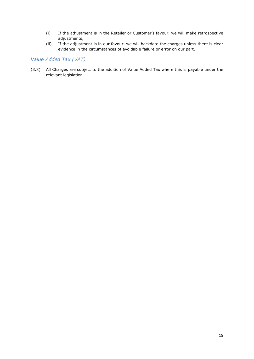- (i) If the adjustment is in the Retailer or Customer's favour, we will make retrospective adjustments,
- (ii) If the adjustment is in our favour, we will backdate the charges unless there is clear evidence in the circumstances of avoidable failure or error on our part.

# <span id="page-15-0"></span>*Value Added Tax (VAT)*

(3.8) All Charges are subject to the addition of Value Added Tax where this is payable under the relevant legislation.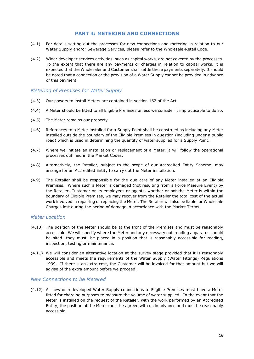## **PART 4: METERING AND CONNECTIONS**

- <span id="page-16-0"></span>(4.1) For details setting out the processes for new connections and metering in relation to our Water Supply and/or Sewerage Services, please refer to the Wholesale-Retail Code.
- (4.2) Wider developer services activities, such as capital works, are not covered by the processes. To the extent that there are any payments or charges in relation to capital works, it is expected that the Wholesaler and Customer shall settle these payments separately. It should be noted that a connection or the provision of a Water Supply cannot be provided in advance of this payment.

## <span id="page-16-1"></span>*Metering of Premises for Water Supply*

- (4.3) Our powers to install Meters are contained in section 162 of the Act.
- (4.4) A Meter should be fitted to all Eligible Premises unless we consider it impracticable to do so.
- (4.5) The Meter remains our property.
- (4.6) References to a Meter installed for a Supply Point shall be construed as including any Meter installed outside the boundary of the Eligible Premises in question (including under a public road) which is used in determining the quantity of water supplied for a Supply Point.
- (4.7) Where we initiate an installation or replacement of a Meter, it will follow the operational processes outlined in the Market Codes.
- (4.8) Alternatively, the Retailer, subject to the scope of our Accredited Entity Scheme, may arrange for an Accredited Entity to carry out the Meter installation.
- (4.9) The Retailer shall be responsible for the due care of any Meter installed at an Eligible Premises. Where such a Meter is damaged (not resulting from a Force Majeure Event) by the Retailer, Customer or its employees or agents, whether or not the Meter is within the boundary of Eligible Premises, we may recover from the Retailer the total cost of the actual work involved in repairing or replacing the Meter. The Retailer will also be liable for Wholesale Charges lost during the period of damage in accordance with the Market Terms.

## <span id="page-16-2"></span>*Meter Location*

- (4.10) The position of the Meter should be at the front of the Premises and must be reasonably accessible. We will specify where the Meter and any necessary out-reading apparatus should be sited; they must, be placed in a position that is reasonably accessible for reading, inspection, testing or maintenance.
- (4.11) We will consider an alternative location at the survey stage provided that it is reasonably accessible and meets the requirements of the Water Supply (Water Fittings) Regulations 1999. If there is an extra cost, the Customer will be invoiced for that amount but we will advise of the extra amount before we proceed.

## <span id="page-16-3"></span>*New Connections to be Metered*

(4.12) All new or redeveloped Water Supply connections to Eligible Premises must have a Meter fitted for charging purposes to measure the volume of water supplied. In the event that the Meter is installed on the request of the Retailer, with the work performed by an Accredited Entity, the position of the Meter must be agreed with us in advance and must be reasonably accessible.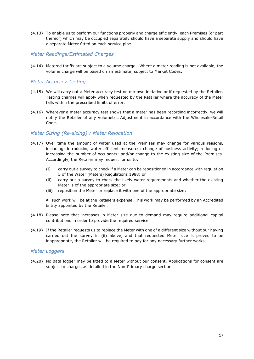(4.13) To enable us to perform our functions properly and charge efficiently, each Premises (or part thereof) which may be occupied separately should have a separate supply and should have a separate Meter fitted on each service pipe.

## <span id="page-17-0"></span>*Meter Readings/Estimated Charges*

(4.14) Metered tariffs are subject to a volume charge. Where a meter reading is not available, the volume charge will be based on an estimate, subject to Market Codes.

## <span id="page-17-1"></span>*Meter Accuracy Testing*

- (4.15) We will carry out a Meter accuracy test on our own initiative or if requested by the Retailer. Testing charges will apply when requested by the Retailer where the accuracy of the Meter falls within the prescribed limits of error.
- (4.16) Wherever a meter accuracy test shows that a meter has been recording incorrectly, we will notify the Retailer of any Volumetric Adjustment in accordance with the Wholesale-Retail Code.

# <span id="page-17-2"></span>*Meter Sizing (Re-sizing) / Meter Relocation*

- (4.17) Over time the amount of water used at the Premises may change for various reasons, including: introducing water efficient measures; change of business activity; reducing or increasing the number of occupants; and/or change to the existing size of the Premises. Accordingly, the Retailer may request for us to:
	- (i) carry out a survey to check if a Meter can be repositioned in accordance with regulation 5 of the Water (Meters) Regulations 1988; or
	- (ii) carry out a survey to check the likely water requirements and whether the existing Meter is of the appropriate size; or
	- (iii) reposition the Meter or replace it with one of the appropriate size;

All such work will be at the Retailers expense. This work may be performed by an Accredited Entity appointed by the Retailer.

- (4.18) Please note that increases in Meter size due to demand may require additional capital contributions in order to provide the required service.
- (4.19) If the Retailer requests us to replace the Meter with one of a different size without our having carried out the survey in (ii) above, and that requested Meter size is proved to be inappropriate, the Retailer will be required to pay for any necessary further works.

## <span id="page-17-3"></span>*Meter Loggers*

(4.20) No data logger may be fitted to a Meter without our consent. Applications for consent are subject to charges as detailed in the Non-Primary charge section.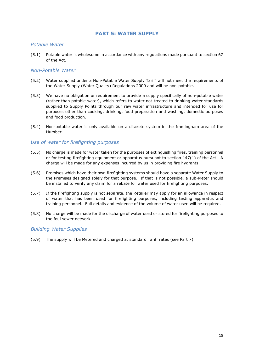## **PART 5: WATER SUPPLY**

## <span id="page-18-1"></span><span id="page-18-0"></span>*Potable Water*

(5.1) Potable water is wholesome in accordance with any regulations made pursuant to section 67 of the Act.

## <span id="page-18-2"></span>*Non-Potable Water*

- (5.2) Water supplied under a Non-Potable Water Supply Tariff will not meet the requirements of the Water Supply (Water Quality) Regulations 2000 and will be non-potable.
- (5.3) We have no obligation or requirement to provide a supply specifically of non-potable water (rather than potable water), which refers to water not treated to drinking water standards supplied to Supply Points through our raw water infrastructure and intended for use for purposes other than cooking, drinking, food preparation and washing, domestic purposes and food production.
- (5.4) Non-potable water is only available on a discrete system in the Immingham area of the Humber.

## <span id="page-18-3"></span>*Use of water for firefighting purposes*

- (5.5) No charge is made for water taken for the purposes of extinguishing fires, training personnel or for testing firefighting equipment or apparatus pursuant to section 147(1) of the Act. A charge will be made for any expenses incurred by us in providing fire hydrants.
- (5.6) Premises which have their own firefighting systems should have a separate Water Supply to the Premises designed solely for that purpose. If that is not possible, a sub-Meter should be installed to verify any claim for a rebate for water used for firefighting purposes.
- (5.7) If the firefighting supply is not separate, the Retailer may apply for an allowance in respect of water that has been used for firefighting purposes, including testing apparatus and training personnel. Full details and evidence of the volume of water used will be required.
- (5.8) No charge will be made for the discharge of water used or stored for firefighting purposes to the foul sewer network.

## <span id="page-18-4"></span>*Building Water Supplies*

(5.9) The supply will be Metered and charged at standard Tariff rates (see Part 7).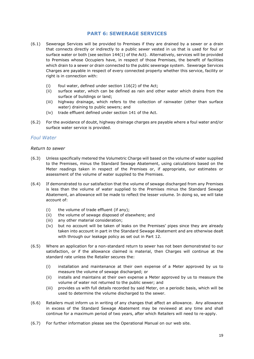## **PART 6: SEWERAGE SERVICES**

- <span id="page-19-0"></span>(6.1) Sewerage Services will be provided to Premises if they are drained by a sewer or a drain that connects directly or indirectly to a public sewer vested in us that is used for foul or surface water or both (see section 144(1) of the Act). Alternatively, services will be provided to Premises whose Occupiers have, in respect of those Premises, the benefit of facilities which drain to a sewer or drain connected to the public sewerage system. Sewerage Services Charges are payable in respect of every connected property whether this service, facility or right is in connection with:
	- (i) foul water, defined under section 116(2) of the Act;
	- (ii) surface water, which can be defined as rain and other water which drains from the surface of buildings or land;
	- (iii) highway drainage, which refers to the collection of rainwater (other than surface water) draining to public sewers; and
	- (iv) trade effluent defined under section 141 of the Act.
- (6.2) For the avoidance of doubt, highway drainage charges are payable where a foul water and/or surface water service is provided.

## <span id="page-19-1"></span>*Foul Water*

#### *Return to sewer*

- (6.3) Unless specifically metered the Volumetric Charge will based on the volume of water supplied to the Premises, minus the Standard Sewage Abatement, using calculations based on the Meter readings taken in respect of the Premises or, if appropriate, our estimates or assessment of the volume of water supplied to the Premises.
- (6.4) If demonstrated to our satisfaction that the volume of sewage discharged from any Premises is less than the volume of water supplied to the Premises minus the Standard Sewage Abatement, an allowance will be made to reflect the lesser volume. In doing so, we will take account of:
	- (i) the volume of trade effluent (if any);
	- (ii) the volume of sewage disposed of elsewhere; and
	- (iii) any other material consideration;
	- (iv) but no account will be taken of leaks on the Premises' pipes since they are already taken into account in part in the Standard Sewage Abatement and are otherwise dealt with through our leakage policy as set out in Part 12.
- (6.5) Where an application for a non-standard return to sewer has not been demonstrated to our satisfaction, or if the allowance claimed is material, then Charges will continue at the standard rate unless the Retailer secures the:
	- (i) installation and maintenance at their own expense of a Meter approved by us to measure the volume of sewage discharged; or
	- (ii) installs and maintains at their own expense a Meter approved by us to measure the volume of water not returned to the public sewer; and
	- (iii) provides us with full details recorded by said Meter, on a periodic basis, which will be used to determine the volume discharged to the sewer.
- (6.6) Retailers must inform us in writing of any changes that affect an allowance. Any allowance in excess of the Standard Sewage Abatement may be reviewed at any time and shall continue for a maximum period of two years, after which Retailers will need to re-apply.
- (6.7) For further information please see the Operational Manual on our web site.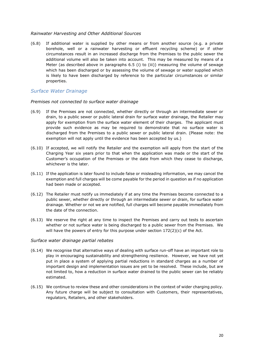## *Rainwater Harvesting and Other Additional Sources*

(6.8) If additional water is supplied by other means or from another source (e.g. a private borehole, well or a rainwater harvesting or effluent recycling scheme) or if other circumstances result in an increased discharge from the Premises to the public sewer the additional volume will also be taken into account. This may be measured by means of a Meter (as described above in paragraphs 6.5 (i) to (iii)) measuring the volume of sewage which has been discharged or by assessing the volume of sewage or water supplied which is likely to have been discharged by reference to the particular circumstances or similar properties.

## <span id="page-20-0"></span>*Surface Water Drainage*

## *Premises not connected to surface water drainage*

- (6.9) If the Premises are not connected, whether directly or through an intermediate sewer or drain, to a public sewer or public lateral drain for surface water drainage, the Retailer may apply for exemption from the surface water element of their charges. The applicant must provide such evidence as may be required to demonstrate that no surface water is discharged from the Premises to a public sewer or public lateral drain. (Please note: the exemption will not apply until the evidence has been accepted by us.)
- (6.10) If accepted, we will notify the Retailer and the exemption will apply from the start of the Charging Year six years prior to that when the application was made or the start of the Customer's occupation of the Premises or the date from which they cease to discharge, whichever is the later.
- (6.11) If the application is later found to include false or misleading information, we may cancel the exemption and full charges will be come payable for the period in question as if no application had been made or accepted.
- (6.12) The Retailer must notify us immediately if at any time the Premises become connected to a public sewer, whether directly or through an intermediate sewer or drain, for surface water drainage. Whether or not we are notified, full charges will become payable immediately from the date of the connection.
- (6.13) We reserve the right at any time to inspect the Premises and carry out tests to ascertain whether or not surface water is being discharged to a public sewer from the Premises. We will have the powers of entry for this purpose under section 172(2)(c) of the Act.

#### *Surface water drainage partial rebates*

- (6.14) We recognise that alternative ways of dealing with surface run-off have an important role to play in encouraging sustainability and strengthening resilience. However, we have not yet put in place a system of applying partial reductions in standard charges as a number of important design and implementation issues are yet to be resolved. These include, but are not limited to, how a reduction in surface water drained to the public sewer can be reliably estimated.
- (6.15) We continue to review these and other considerations in the context of wider charging policy. Any future charge will be subject to consultation with Customers, their representatives, regulators, Retailers, and other stakeholders.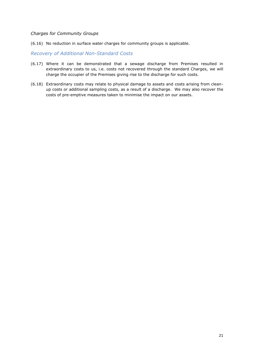#### *Charges for Community Groups*

(6.16) No reduction in surface water charges for community groups is applicable.

<span id="page-21-0"></span>*Recovery of Additional Non-Standard Costs*

- (6.17) Where it can be demonstrated that a sewage discharge from Premises resulted in extraordinary costs to us, i.e. costs not recovered through the standard Charges, we will charge the occupier of the Premises giving rise to the discharge for such costs.
- (6.18) Extraordinary costs may relate to physical damage to assets and costs arising from cleanup costs or additional sampling costs, as a result of a discharge. We may also recover the costs of pre-emptive measures taken to minimise the impact on our assets.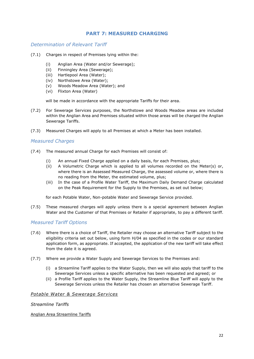# **PART 7: MEASURED CHARGING**

## <span id="page-22-1"></span><span id="page-22-0"></span>*Determination of Relevant Tariff*

- (7.1) Charges in respect of Premises lying within the:
	- (i) Anglian Area (Water and/or Sewerage);
	- (ii) Finningley Area (Sewerage);
	- (iii) Hartlepool Area (Water);
	- (iv) Northstowe Area (Water);
	- (v) Woods Meadow Area (Water); and
	- (vi) Flixton Area (Water)

will be made in accordance with the appropriate Tariffs for their area.

- (7.2) For Sewerage Services purposes, the Northstowe and Woods Meadow areas are included within the Anglian Area and Premises situated within those areas will be charged the Anglian Sewerage Tariffs.
- (7.3) Measured Charges will apply to all Premises at which a Meter has been installed.

## <span id="page-22-2"></span>*Measured Charges*

- (7.4) The measured annual Charge for each Premises will consist of:
	- (i) An annual Fixed Charge applied on a daily basis, for each Premises, plus;
	- (ii) A Volumetric Charge which is applied to all volumes recorded on the Meter(s) or, where there is an Assessed Measured Charge, the assessed volume or, where there is no reading from the Meter, the estimated volume, plus;
	- (iii) In the case of a Profile Water Tariff, the Maximum Daily Demand Charge calculated on the Peak Requirement for the Supply to the Premises, as set out below;

for each Potable Water, Non-potable Water and Sewerage Service provided.

(7.5) These measured charges will apply unless there is a special agreement between Anglian Water and the Customer of that Premises or Retailer if appropriate, to pay a different tariff.

## <span id="page-22-3"></span>*Measured Tariff Options*

- (7.6) Where there is a choice of Tariff, the Retailer may choose an alternative Tariff subject to the eligibility criteria set out below, using form H/04 as specified in the codes or our standard application form, as appropriate. If accepted, the application of the new tariff will take effect from the date it is agreed.
- (7.7) Where we provide a Water Supply and Sewerage Services to the Premises and:
	- (i) a Streamline Tariff applies to the Water Supply, then we will also apply that tariff to the Sewerage Services unless a specific alternative has been requested and agreed; or
	- (ii) a Profile Tariff applies to the Water Supply, the Streamline Blue Tariff will apply to the Sewerage Services unless the Retailer has chosen an alternative Sewerage Tariff.

## *Potable Water & Sewerage Services*

## *Streamline Tariffs*

Anglian Area Streamline Tariffs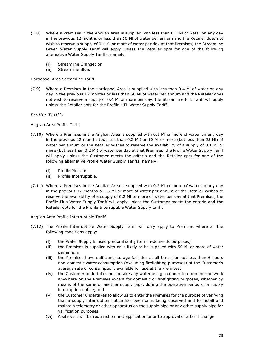- (7.8) Where a Premises in the Anglian Area is supplied with less than 0.1 Ml of water on any day in the previous 12 months or less than 10 Ml of water per annum and the Retailer does not wish to reserve a supply of 0.1 Ml or more of water per day at that Premises, the Streamline Green Water Supply Tariff will apply unless the Retailer opts for one of the following alternative Water Supply Tariffs, namely:
	- (i) Streamline Orange; or
	- (ii) Streamline Blue.

#### Hartlepool Area Streamline Tariff

(7.9) Where a Premises in the Hartlepool Area is supplied with less than 0.4 Ml of water on any day in the previous 12 months or less than 50 Ml of water per annum and the Retailer does not wish to reserve a supply of 0.4 Ml or more per day, the Streamline HTL Tariff will apply unless the Retailer opts for the Profile HTL Water Supply Tariff.

## *Profile Tariffs*

#### Anglian Area Profile Tariff

- (7.10) Where a Premises in the Anglian Area is supplied with 0.1 Ml or more of water on any day in the previous 12 months (but less than 0.2 Ml) or 10 Ml or more (but less than 25 Ml) of water per annum or the Retailer wishes to reserve the availability of a supply of 0.1 Ml or more (but less than 0.2 Ml) of water per day at that Premises, the Profile Water Supply Tariff will apply unless the Customer meets the criteria and the Retailer opts for one of the following alternative Profile Water Supply Tariffs, namely:
	- (i) Profile Plus; or
	- (ii) Profile Interruptible.
- (7.11) Where a Premises in the Anglian Area is supplied with 0.2 Ml or more of water on any day in the previous 12 months or 25 Ml or more of water per annum or the Retailer wishes to reserve the availability of a supply of 0.2 Ml or more of water per day at that Premises, the Profile Plus Water Supply Tariff will apply unless the Customer meets the criteria and the Retailer opts for the Profile Interruptible Water Supply tariff.

#### Anglian Area Profile Interruptible Tariff

- (7.12) The Profile Interruptible Water Supply Tariff will only apply to Premises where all the following conditions apply:
	- (i) the Water Supply is used predominantly for non-domestic purposes;
	- (ii) the Premises is supplied with or is likely to be supplied with 50 Ml or more of water per annum;
	- (iii) the Premises have sufficient storage facilities at all times for not less than 6 hours non-domestic water consumption (excluding firefighting purposes) at the Customer's average rate of consumption, available for use at the Premises;
	- (iv) the Customer undertakes not to take any water using a connection from our network anywhere on the Premises except for domestic or firefighting purposes, whether by means of the same or another supply pipe, during the operative period of a supply interruption notice; and
	- (v) the Customer undertakes to allow us to enter the Premises for the purpose of verifying that a supply interruption notice has been or is being observed and to install and maintain telemetry or other apparatus on the supply pipe or any other supply pipe for verification purposes.
	- (vi) A site visit will be required on first application prior to approval of a tariff change.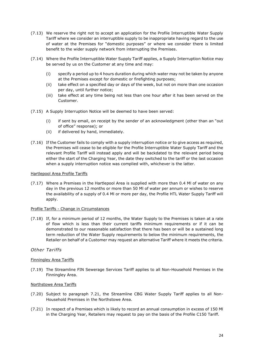- (7.13) We reserve the right not to accept an application for the Profile Interruptible Water Supply Tariff where we consider an interruptible supply to be inappropriate having regard to the use of water at the Premises for "domestic purposes" or where we consider there is limited benefit to the wider supply network from interrupting the Premises.
- (7.14) Where the Profile Interruptible Water Supply Tariff applies, a Supply Interruption Notice may be served by us on the Customer at any time and may:
	- (i) specify a period up to 4 hours duration during which water may not be taken by anyone at the Premises except for domestic or firefighting purposes;
	- (ii) take effect on a specified day or days of the week, but not on more than one occasion per day, until further notice;
	- (iii) take effect at any time being not less than one hour after it has been served on the Customer.
- (7.15) A Supply Interruption Notice will be deemed to have been served:
	- (i) if sent by email, on receipt by the sender of an acknowledgment (other than an "out of office" response); or
	- (ii) if delivered by hand, immediately.
- (7.16) If the Customer fails to comply with a supply interruption notice or to give access as required, the Premises will cease to be eligible for the Profile Interruptible Water Supply Tariff and the relevant Profile Tariff will instead apply and will be backdated to the relevant period being either the start of the Charging Year, the date they switched to the tariff or the last occasion when a supply interruption notice was complied with, whichever is the latter.

#### Hartlepool Area Profile Tariffs

(7.17) Where a Premises in the Hartlepool Area is supplied with more than 0.4 Ml of water on any day in the previous 12 months or more than 50 Ml of water per annum or wishes to reserve the availability of a supply of 0.4 Ml or more per day, the Profile HTL Water Supply Tariff will apply.

#### Profile Tariffs - Change in Circumstances

(7.18) If, for a minimum period of 12 months, the Water Supply to the Premises is taken at a rate of flow which is less than their current tariffs minimum requirements or if it can be demonstrated to our reasonable satisfaction that there has been or will be a sustained long term reduction of the Water Supply requirements to below the minimum requirements, the Retailer on behalf of a Customer may request an alternative Tariff where it meets the criteria.

## *Other Tariffs*

## Finningley Area Tariffs

(7.19) The Streamline FIN Sewerage Services Tariff applies to all Non-Household Premises in the Finningley Area.

#### Northstowe Area Tariffs

- (7.20) Subject to paragraph 7.21, the Streamline CBG Water Supply Tariff applies to all Non-Household Premises in the Northstowe Area.
- (7.21) In respect of a Premises which is likely to record an annual consumption in excess of 150 Ml in the Charging Year, Retailers may request to pay on the basis of the Profile C150 Tariff.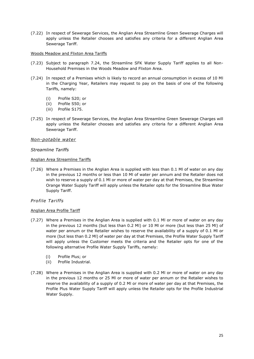(7.22) In respect of Sewerage Services, the Anglian Area Streamline Green Sewerage Charges will apply unless the Retailer chooses and satisfies any criteria for a different Anglian Area Sewerage Tariff.

#### Woods Meadow and Flixton Area Tariffs

- (7.23) Subject to paragraph 7.24, the Streamline SFK Water Supply Tariff applies to all Non-Household Premises in the Woods Meadow and Flixton Area.
- (7.24) In respect of a Premises which is likely to record an annual consumption in excess of 10 Ml in the Charging Year, Retailers may request to pay on the basis of one of the following Tariffs, namely:
	- (i) Profile S20; or
	- (ii) Profile S50; or
	- (iii) Profile S175.
- (7.25) In respect of Sewerage Services, the Anglian Area Streamline Green Sewerage Charges will apply unless the Retailer chooses and satisfies any criteria for a different Anglian Area Sewerage Tariff.

## *Non-potable water*

## *Streamline Tariffs*

#### Anglian Area Streamline Tariffs

(7.26) Where a Premises in the Anglian Area is supplied with less than 0.1 Ml of water on any day in the previous 12 months or less than 10 Ml of water per annum and the Retailer does not wish to reserve a supply of 0.1 Ml or more of water per day at that Premises, the Streamline Orange Water Supply Tariff will apply unless the Retailer opts for the Streamline Blue Water Supply Tariff.

## *Profile Tariffs*

## Anglian Area Profile Tariff

- (7.27) Where a Premises in the Anglian Area is supplied with 0.1 Ml or more of water on any day in the previous 12 months (but less than 0.2 Ml) or 10 Ml or more (but less than 25 Ml) of water per annum or the Retailer wishes to reserve the availability of a supply of 0.1 Ml or more (but less than 0.2 Ml) of water per day at that Premises, the Profile Water Supply Tariff will apply unless the Customer meets the criteria and the Retailer opts for one of the following alternative Profile Water Supply Tariffs, namely:
	- (i) Profile Plus; or
	- (ii) Profile Industrial.
- (7.28) Where a Premises in the Anglian Area is supplied with 0.2 Ml or more of water on any day in the previous 12 months or 25 Ml or more of water per annum or the Retailer wishes to reserve the availability of a supply of 0.2 Ml or more of water per day at that Premises, the Profile Plus Water Supply Tariff will apply unless the Retailer opts for the Profile Industrial Water Supply.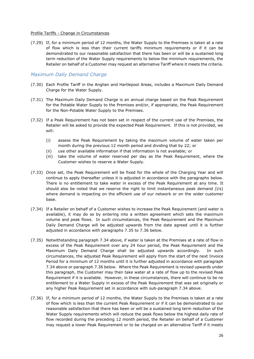#### Profile Tariffs - Change in Circumstances

(7.29) If, for a minimum period of 12 months, the Water Supply to the Premises is taken at a rate of flow which is less than their current tariffs minimum requirements or if it can be demonstrated to our reasonable satisfaction that there has been or will be a sustained long term reduction of the Water Supply requirements to below the minimum requirements, the Retailer on behalf of a Customer may request an alternative Tariff where it meets the criteria.

## <span id="page-26-0"></span>*Maximum Daily Demand Charge*

- (7.30) Each Profile Tariff in the Anglian and Hartlepool Areas, includes a Maximum Daily Demand Charge for the Water Supply.
- (7.31) The Maximum Daily Demand Charge is an annual charge based on the Peak Requirement for the Potable Water Supply to the Premises and/or, if appropriate, the Peak Requirement for the Non-Potable Water Supply to the Premises.
- (7.32) If a Peak Requirement has not been set in respect of the current use of the Premises, the Retailer will be asked to provide the expected Peak Requirement. If this is not provided, we will:
	- (i) assess the Peak Requirement by taking the maximum volume of water taken per month during the previous 12 month period and dividing that by 22; or
	- (ii) use other available information if that information is not available; or
	- (iii) take the volume of water reserved per day as the Peak Requirement, where the Customer wishes to reserve a Water Supply.
- (7.33) Once set, the Peak Requirement will be fixed for the whole of the Charging Year and will continue to apply thereafter unless it is adjusted in accordance with the paragraphs below. There is no entitlement to take water in excess of the Peak Requirement at any time. It should also be noted that we reserve the right to limit instantaneous peak demand (l/s) where demand is impacting on the efficient use of our network or on the wider customer base.
- (7.34) If a Retailer on behalf of a Customer wishes to increase the Peak Requirement (and water is available), it may do so by entering into a written agreement which sets the maximum volume and peak flows. In such circumstances, the Peak Requirement and the Maximum Daily Demand Charge will be adjusted upwards from the date agreed until it is further adjusted in accordance with paragraphs 7.35 to 7.36 below.
- (7.35) Notwithstanding paragraph 7.34 above, if water is taken at the Premises at a rate of flow in excess of the Peak Requirement over any 24 hour period, the Peak Requirement and the Maximum Daily Demand Charge shall be adjusted upwards accordingly. In such circumstances, the adjusted Peak Requirement will apply from the start of the next Invoice Period for a minimum of 12 months until it is further adjusted in accordance with paragraph 7.34 above or paragraph 7.36 below. Where the Peak Requirement is revised upwards under this paragraph, the Customer may then take water at a rate of flow up to the revised Peak Requirement if it is available. However, in these circumstances, there will continue to be no entitlement to a Water Supply in excess of the Peak Requirement that was set originally or any higher Peak Requirement set in accordance with sub-paragraph 7.34 above.
- (7.36) If, for a minimum period of 12 months, the Water Supply to the Premises is taken at a rate of flow which is less than the current Peak Requirement or if it can be demonstrated to our reasonable satisfaction that there has been or will be a sustained long term reduction of the Water Supply requirements which will reduce the peak flows below the highest daily rate of flow recorded during the preceding 12 month period, the Retailer on behalf of a Customer may request a lower Peak Requirement or to be charged on an alternative Tariff if it meets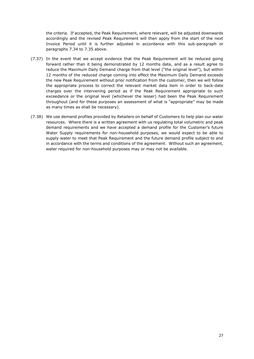the criteria. If accepted, the Peak Requirement, where relevant, will be adjusted downwards accordingly and the revised Peak Requirement will then apply from the start of the next Invoice Period until it is further adjusted in accordance with this sub-paragraph or paragraphs 7.34 to 7.35 above.

- (7.37) In the event that we accept evidence that the Peak Requirement will be reduced going forward rather than it being demonstrated by 12 months data, and as a result agree to reduce the Maximum Daily Demand charge from that level ("the original level"), but within 12 months of the reduced charge coming into effect the Maximum Daily Demand exceeds the new Peak Requirement without prior notification from the customer, then we will follow the appropriate process to correct the relevant market data item in order to back-date charges over the intervening period as if the Peak Requirement appropriate to such exceedance or the original level (whichever the lesser) had been the Peak Requirement throughout (and for these purposes an assessment of what is "appropriate" may be made as many times as shall be necessary).
- (7.38) We use demand profiles provided by Retailers on behalf of Customers to help plan our water resources. Where there is a written agreement with us regulating total volumetric and peak demand requirements and we have accepted a demand profile for the Customer's future Water Supply requirements for non-household purposes, we would expect to be able to supply water to meet that Peak Requirement and the future demand profile subject to and in accordance with the terms and conditions of the agreement. Without such an agreement, water required for non-household purposes may or may not be available.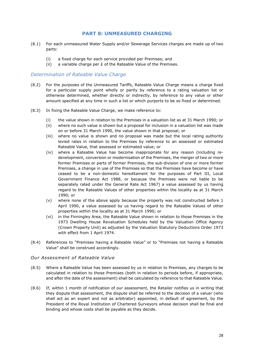## **PART 8: UNMEASURED CHARGING**

- <span id="page-28-0"></span>(8.1) For each unmeasured Water Supply and/or Sewerage Services charges are made up of two parts:
	- (i) a fixed charge for each service provided per Premises; and
	- (ii) a variable charge per  $E$  of the Rateable Value of the Premises.

## <span id="page-28-1"></span>*Determination of Rateable Value Charge*

- (8.2) For the purposes of the Unmeasured Tariffs, Rateable Value Charge means a charge fixed for a particular supply point wholly or partly by reference to a rating valuation list or otherwise determined, whether directly or indirectly, by reference to any value or other amount specified at any time in such a list or which purports to be so fixed or determined.
- (8.3) In fixing the Rateable Value Charge, we make reference to:
	- (i) the value shown in relation to the Premises in a valuation list as at 31 March 1990; or
	- (ii) where no such value is shown but a proposal for inclusion in a valuation list was made on or before 31 March 1990, the value shown in that proposal; or
	- (iii) where no value is shown and no proposal was made but the local rating authority levied rates in relation to the Premises by reference to an assessed or estimated Rateable Value, that assessed or estimated value; or
	- (iv) where a Rateable Value has become inappropriate for any reason (including redevelopment, conversion or modernisation of the Premises, the merger of two or more former Premises or parts of former Premises, the sub-division of one or more former Premises, a change in use of the Premises so that the Premises have become or have ceased to be a non-domestic hereditament for the purposes of Part III, Local Government Finance Act 1988, or because the Premises were not liable to be separately rated under the General Rate Act 1967) a value assessed by us having regard to the Rateable Values of other properties within the locality as at 31 March 1990; or
	- (v) where none of the above apply because the property was not constructed before 1 April 1990, a value assessed by us having regard to the Rateable Values of other properties within the locality as at 31 March 1990; or
	- (vi) in the Finningley Area, the Rateable Value shown in relation to those Premises in the 1973 Dwelling House Revaluation Schedules held by the Valuation Office Agency (Crown Property Unit) as adjusted by the Valuation Statutory Deductions Order 1973 with effect from 1 April 1974.
- (8.4) References to "Premises having a Rateable Value" or to "Premises not having a Rateable Value" shall be construed accordingly.

## *Our Assessment of Rateable Value*

- (8.5) Where a Rateable Value has been assessed by us in relation to Premises, any charges to be calculated in relation to those Premises (both in relation to periods before, if appropriate, and after the date of the assessment) shall be calculated by reference to that Rateable Value.
- (8.6) If, within 1 month of notification of our assessment, the Retailer notifies us in writing that they dispute that assessment, the dispute shall be referred to the decision of a valuer (who shall act as an expert and not as arbitrator) appointed, in default of agreement, by the President of the Royal Institution of Chartered Surveyors whose decision shall be final and binding and whose costs shall be payable as they decide.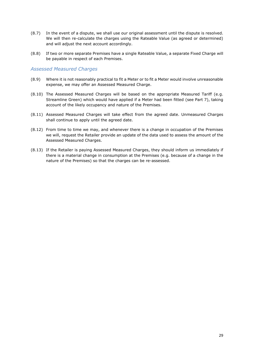- (8.7) In the event of a dispute, we shall use our original assessment until the dispute is resolved. We will then re-calculate the charges using the Rateable Value (as agreed or determined) and will adjust the next account accordingly.
- (8.8) If two or more separate Premises have a single Rateable Value, a separate Fixed Charge will be payable in respect of each Premises.

#### <span id="page-29-0"></span>*Assessed Measured Charges*

- (8.9) Where it is not reasonably practical to fit a Meter or to fit a Meter would involve unreasonable expense, we may offer an Assessed Measured Charge.
- (8.10) The Assessed Measured Charges will be based on the appropriate Measured Tariff (e.g. Streamline Green) which would have applied if a Meter had been fitted (see Part 7), taking account of the likely occupancy and nature of the Premises.
- (8.11) Assessed Measured Charges will take effect from the agreed date. Unmeasured Charges shall continue to apply until the agreed date.
- (8.12) From time to time we may, and whenever there is a change in occupation of the Premises we will, request the Retailer provide an update of the data used to assess the amount of the Assessed Measured Charges.
- (8.13) If the Retailer is paying Assessed Measured Charges, they should inform us immediately if there is a material change in consumption at the Premises (e.g. because of a change in the nature of the Premises) so that the charges can be re-assessed.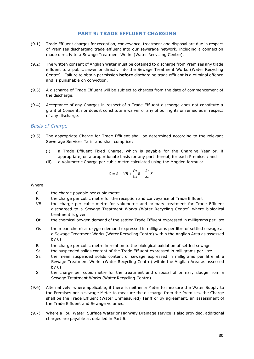## **PART 9: TRADE EFFLUENT CHARGING**

- <span id="page-30-0"></span>(9.1) Trade Effluent charges for reception, conveyance, treatment and disposal are due in respect of Premises discharging trade effluent into our sewerage network, including a connection made directly to a Sewage Treatment Works (Water Recycling Centre).
- (9.2) The written consent of Anglian Water must be obtained to discharge from Premises any trade effluent to a public sewer or directly into the Sewage Treatment Works (Water Recycling Centre). Failure to obtain permission **before** discharging trade effluent is a criminal offence and is punishable on conviction.
- (9.3) A discharge of Trade Effluent will be subject to charges from the date of commencement of the discharge.
- (9.4) Acceptance of any Charges in respect of a Trade Effluent discharge does not constitute a grant of Consent, nor does it constitute a waiver of any of our rights or remedies in respect of any discharge.

## <span id="page-30-1"></span>*Basis of Charge*

- (9.5) The appropriate Charge for Trade Effluent shall be determined according to the relevant Sewerage Services Tariff and shall comprise:
	- (i) a Trade Effluent Fixed Charge, which is payable for the Charging Year or, if appropriate, on a proportionate basis for any part thereof, for each Premises; and
	- (ii) a Volumetric Charge per cubic metre calculated using the Mogden formula:

$$
\mathcal{C} = \mathcal{R} + V \mathcal{B} + \frac{ \mathcal{O} t}{\mathcal{O} s} \mathcal{B} + \frac{St}{S s} \mathcal{S}
$$

Where:

- C the charge payable per cubic metre
- R the charge per cubic metre for the reception and conveyance of Trade Effluent
- VB the charge per cubic metre for volumetric and primary treatment for Trade Effluent discharged to a Sewage Treatment Works (Water Recycling Centre) where biological treatment is given
- Ot the chemical oxygen demand of the settled Trade Effluent expressed in milligrams per litre
- Os the mean chemical oxygen demand expressed in milligrams per litre of settled sewage at a Sewage Treatment Works (Water Recycling Centre) within the Anglian Area as assessed by us
- B the charge per cubic metre in relation to the biological oxidation of settled sewage
- St the suspended solids content of the Trade Effluent expressed in milligrams per litre
- Ss the mean suspended solids content of sewage expressed in milligrams per litre at a Sewage Treatment Works (Water Recycling Centre) within the Anglian Area as assessed by us
- S the charge per cubic metre for the treatment and disposal of primary sludge from a Sewage Treatment Works (Water Recycling Centre)
- (9.6) Alternatively, where applicable, if there is neither a Meter to measure the Water Supply to the Premises nor a sewage Meter to measure the discharge from the Premises, the Charge shall be the Trade Effluent (Water Unmeasured) Tariff or by agreement, an assessment of the Trade Effluent and Sewage volumes.
- (9.7) Where a Foul Water, Surface Water or Highway Drainage service is also provided, additional charges are payable as detailed in Part 6.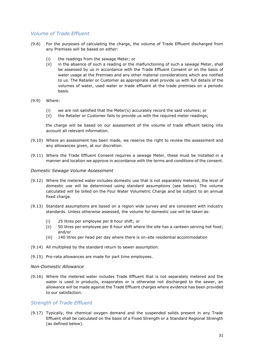## <span id="page-31-0"></span>*Volume of Trade Effluent*

- (9.8) For the purposes of calculating the charge, the volume of Trade Effluent discharged from any Premises will be based on either:
	- (i) the readings from the sewage Meter; or
	- (ii) in the absence of such a reading or the malfunctioning of such a sewage Meter, shall be assessed by us in accordance with the Trade Effluent Consent or on the basis of water usage at the Premises and any other material considerations which are notified to us. The Retailer or Customer as appropriate shall provide us with full details of the volumes of water, used water or trade effluent at the trade premises on a periodic basis.
- (9.9) Where:
	- (i) we are not satisfied that the Meter(s) accurately record the said volumes; or
	- (ii) the Retailer or Customer fails to provide us with the required meter readings;

the charge will be based on our assessment of the volume of trade effluent taking into account all relevant information.

- (9.10) Where an assessment has been made, we reserve the right to review the assessment and any allowances given, at our discretion.
- (9.11) Where the Trade Effluent Consent requires a sewage Meter, these must be installed in a manner and location we approve in accordance with the terms and conditions of the consent.

#### <span id="page-31-1"></span>*Domestic Sewage Volume Assessment*

- (9.12) Where the metered water includes domestic use that is not separately metered, the level of domestic use will be determined using standard assumptions (see below). The volume calculated will be billed on the Foul Water Volumetric Charge and be subject to an annual fixed charge.
- (9.13) Standard assumptions are based on a region wide survey and are consistent with industry standards. Unless otherwise assessed, the volume for domestic use will be taken as:
	- (i) 25 litres per employee per 8 hour shift; or
	- (ii) 50 litres per employee per 8 hour shift where the site has a canteen serving hot food; and/or
	- (iii) 140 litres per head per day where there is on-site residential accommodation
- (9.14) All multiplied by the standard return to sewer assumption.
- (9.15) Pro-rata allowances are made for part time employees.

#### *Non-Domestic Allowance*

(9.16) Where the metered water includes Trade Effluent that is not separately metered and the water is used in products, evaporates or is otherwise not discharged to the sewer, an allowance will be made against the Trade Effluent charges where evidence has been provided to our satisfaction.

## <span id="page-31-2"></span>*Strength of Trade Effluent*

(9.17) Typically, the chemical oxygen demand and the suspended solids present in any Trade Effluent shall be calculated on the basis of a Fixed Strength or a Standard Regional Strength (as defined below).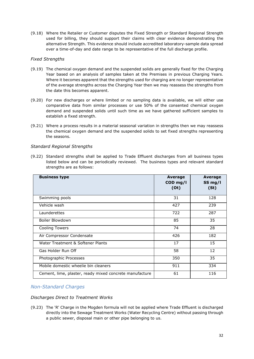(9.18) Where the Retailer or Customer disputes the Fixed Strength or Standard Regional Strength used for billing, they should support their claims with clear evidence demonstrating the alternative Strength. This evidence should include accredited laboratory-sample data spread over a time-of-day and date range to be representative of the full discharge profile.

## *Fixed Strengths*

- (9.19) The chemical oxygen demand and the suspended solids are generally fixed for the Charging Year based on an analysis of samples taken at the Premises in previous Charging Years. Where it becomes apparent that the strengths used for charging are no longer representative of the average strengths across the Charging Year then we may reassess the strengths from the date this becomes apparent.
- (9.20) For new discharges or where limited or no sampling data is available, we will either use comparative data from similar processes or use 50% of the consented chemical oxygen demand and suspended solids until such time as we have gathered sufficient samples to establish a fixed strength.
- (9.21) Where a process results in a material seasonal variation in strengths then we may reassess the chemical oxygen demand and the suspended solids to set fixed strengths representing the seasons.

## *Standard Regional Strengths*

(9.22) Standard strengths shall be applied to Trade Effluent discharges from all business types listed below and can be periodically reviewed. The business types and relevant standard strengths are as follows:

| <b>Business type</b>                                    | Average<br>$COD$ mg/l<br>(0t) | Average<br>SS mg/l<br>(St) |
|---------------------------------------------------------|-------------------------------|----------------------------|
| Swimming pools                                          | 31                            | 128                        |
| Vehicle wash                                            | 427                           | 239                        |
| Launderettes                                            | 722                           | 287                        |
| Boiler Blowdown                                         | 85                            | 35                         |
| <b>Cooling Towers</b>                                   | 74                            | 28                         |
| Air Compressor Condensate                               | 426                           | 182                        |
| Water Treatment & Softener Plants                       | 17                            | 15                         |
| Gas Holder Run Off                                      | 58                            | 12                         |
| Photographic Processes                                  | 350                           | 35                         |
| Mobile domestic wheelie bin cleaners                    | 911                           | 334                        |
| Cement, lime, plaster, ready mixed concrete manufacture | 61                            | 116                        |

# <span id="page-32-0"></span>*Non-Standard Charges*

## *Discharges Direct to Treatment Works*

(9.23) The 'R' Charge in the Mogden formula will not be applied where Trade Effluent is discharged directly into the Sewage Treatment Works (Water Recycling Centre) without passing through a public sewer, disposal main or other pipe belonging to us.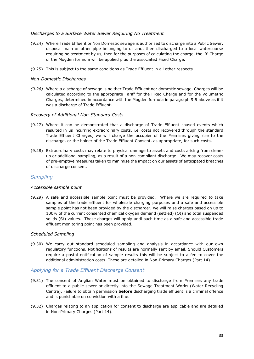## *Discharges to a Surface Water Sewer Requiring No Treatment*

- (9.24) Where Trade Effluent or Non Domestic sewage is authorised to discharge into a Public Sewer, disposal main or other pipe belonging to us and, then discharged to a local watercourse requiring no treatment by us, then for the purposes of calculating the charge, the 'R' Charge of the Mogden formula will be applied plus the associated Fixed Charge.
- (9.25) This is subject to the same conditions as Trade Effluent in all other respects.

#### *Non-Domestic Discharges*

*(9.26)* Where a discharge of sewage is neither Trade Effluent nor domestic sewage, Charges will be calculated according to the appropriate Tariff for the Fixed Charge and for the Volumetric Charges, determined in accordance with the Mogden formula in paragraph 9.5 above as if it was a discharge of Trade Effluent.

#### *Recovery of Additional Non-Standard Costs*

- (9.27) Where it can be demonstrated that a discharge of Trade Effluent caused events which resulted in us incurring extraordinary costs, i.e. costs not recovered through the standard Trade Effluent Charges, we will charge the occupier of the Premises giving rise to the discharge, or the holder of the Trade Effluent Consent, as appropriate, for such costs.
- (9.28) Extraordinary costs may relate to physical damage to assets and costs arising from cleanup or additional sampling, as a result of a non-compliant discharge. We may recover costs of pre-emptive measures taken to minimise the impact on our assets of anticipated breaches of discharge consent.

## <span id="page-33-0"></span>*Sampling*

#### *Accessible sample point*

(9.29) A safe and accessible sample point must be provided. Where we are required to take samples of the trade effluent for wholesale charging purposes and a safe and accessible sample point has not been provided by the discharger, we will raise charges based on up to 100% of the current consented chemical oxygen demand (settled) (Ot) and total suspended solids (St) values. These charges will apply until such time as a safe and accessible trade effluent monitoring point has been provided.

#### *Scheduled Sampling*

(9.30) We carry out standard scheduled sampling and analysis in accordance with our own regulatory functions. Notifications of results are normally sent by email. Should Customers require a postal notification of sample results this will be subject to a fee to cover the additional administration costs. These are detailed in Non-Primary Charges (Part 14).

## <span id="page-33-1"></span>*Applying for a Trade Effluent Discharge Consent*

- (9.31) The consent of Anglian Water must be obtained to discharge from Premises any trade effluent to a public sewer or directly into the Sewage Treatment Works (Water Recycling Centre). Failure to obtain permission **before** discharging trade effluent is a criminal offence and is punishable on conviction with a fine.
- (9.32) Charges relating to an application for consent to discharge are applicable and are detailed in Non-Primary Charges (Part 14).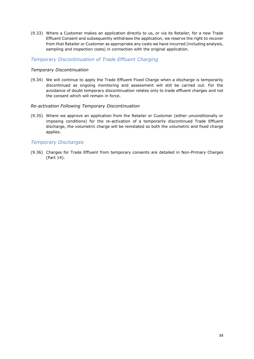(9.33) Where a Customer makes an application directly to us, or via its Retailer, for a new Trade Effluent Consent and subsequently withdraws the application, we reserve the right to recover from that Retailer or Customer as appropriate any costs we have incurred (including analysis, sampling and inspection costs) in connection with the original application.

## <span id="page-34-0"></span>*Temporary Discontinuation of Trade Effluent Charging*

#### *Temporary Discontinuation*

(9.34) We will continue to apply the Trade Effluent Fixed Charge when a discharge is temporarily discontinued as ongoing monitoring and assessment will still be carried out. For the avoidance of doubt temporary discontinuation relates only to trade effluent charges and not the consent which will remain in force.

#### *Re-activation Following Temporary Discontinuation*

(9.35) Where we approve an application from the Retailer or Customer (either unconditionally or imposing conditions) for the re-activation of a temporarily discontinued Trade Effluent discharge, the volumetric charge will be reinstated so both the volumetric and fixed charge applies.

## <span id="page-34-1"></span>*Temporary Discharges*

(9.36) Charges for Trade Effluent from temporary consents are detailed in Non-Primary Charges (Part 14).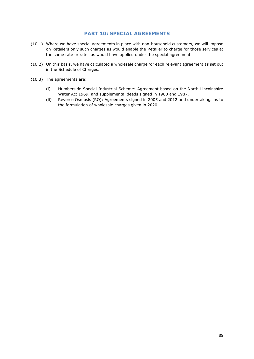## **PART 10: SPECIAL AGREEMENTS**

- <span id="page-35-0"></span>(10.1) Where we have special agreements in place with non-household customers, we will impose on Retailers only such charges as would enable the Retailer to charge for those services at the same rate or rates as would have applied under the special agreement.
- (10.2) On this basis, we have calculated a wholesale charge for each relevant agreement as set out in the Schedule of Charges.
- (10.3) The agreements are:
	- (i) Humberside Special Industrial Scheme: Agreement based on the North Lincolnshire Water Act 1969, and supplemental deeds signed in 1980 and 1987.
	- (ii) Reverse Osmosis (RO): Agreements signed in 2005 and 2012 and undertakings as to the formulation of wholesale charges given in 2020.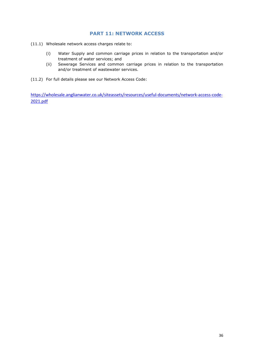# **PART 11: NETWORK ACCESS**

- (11.1) Wholesale network access charges relate to:
	- (i) Water Supply and common carriage prices in relation to the transportation and/or treatment of water services; and
	- (ii) Sewerage Services and common carriage prices in relation to the transportation and/or treatment of wastewater services.
- (11.2) For full details please see our Network Access Code:

[https://wholesale.anglianwater.co.uk/siteassets/resources/useful-documents/network-access-code-](https://wholesale.anglianwater.co.uk/siteassets/resources/useful-documents/network-access-code-2021.pdf)[2021.pdf](https://wholesale.anglianwater.co.uk/siteassets/resources/useful-documents/network-access-code-2021.pdf)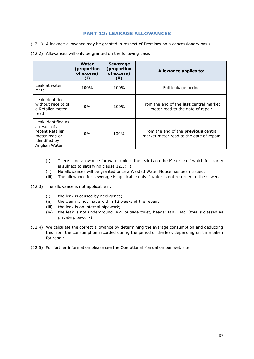# **PART 12: LEAKAGE ALLOWANCES**

- (12.1) A leakage allowance may be granted in respect of Premises on a concessionary basis.
- (12.2) Allowances will only be granted on the following basis:

|                                                                                                           | Water<br>(proportion<br>of excess)<br>$\mathbf{I}$ | <b>Sewerage</b><br>(proportion<br>of excess)<br>(ii) | Allowance applies to:                                                                  |
|-----------------------------------------------------------------------------------------------------------|----------------------------------------------------|------------------------------------------------------|----------------------------------------------------------------------------------------|
| Leak at water<br>Meter                                                                                    | 100%                                               | 100%                                                 | Full leakage period                                                                    |
| Leak identified<br>without receipt of<br>a Retailer meter<br>read                                         | $0\%$                                              | 100%                                                 | From the end of the <b>last</b> central market<br>meter read to the date of repair     |
| Leak identified as<br>a result of a<br>recent Retailer<br>meter read or<br>identified by<br>Anglian Water | $0\%$                                              | 100%                                                 | From the end of the <b>previous</b> central<br>market meter read to the date of repair |

- (i) There is no allowance for water unless the leak is on the Meter itself which for clarity is subject to satisfying clause 12.3(iii).
- (ii) No allowances will be granted once a Wasted Water Notice has been issued.
- (iii) The allowance for sewerage is applicable only if water is not returned to the sewer.
- (12.3) The allowance is not applicable if:
	- (i) the leak is caused by negligence;
	- (ii) the claim is not made within 12 weeks of the repair;
	- (iii) the leak is on internal pipework;
	- (iv) the leak is not underground, e.g. outside toilet, header tank, etc. (this is classed as private pipework).
- (12.4) We calculate the correct allowance by determining the average consumption and deducting this from the consumption recorded during the period of the leak depending on time taken for repair.
- (12.5) For further information please see the Operational Manual on our web site.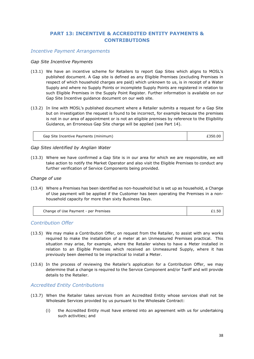# **PART 13: INCENTIVE & ACCREDITED ENTITY PAYMENTS & CONTRIBUTIONS**

## *Incentive Payment Arrangements*

#### *Gap Site Incentive Payments*

- (13.1) We have an incentive scheme for Retailers to report Gap Sites which aligns to MOSL's published document. A Gap site is defined as any Eligible Premises (excluding Premises in respect of which household charges are paid) which unknown to us, is in receipt of a Water Supply and where no Supply Points or incomplete Supply Points are registered in relation to such Eligible Premises in the Supply Point Register. Further information is available on our Gap Site Incentive guidance document on our web site.
- (13.2) In line with MOSL's published document where a Retailer submits a request for a Gap Site but on investigation the request is found to be incorrect, for example because the premises is not in our area of appointment or is not an eligible premises by reference to the Eligibility Guidance, an Erroneous Gap Site charge will be applied (see Part 14).

| Gap Site Incentive Payments (minimum) | £350.00 |
|---------------------------------------|---------|
|---------------------------------------|---------|

#### *Gap Sites identified by Anglian Water*

(13.3) Where we have confirmed a Gap Site is in our area for which we are responsible, we will take action to notify the Market Operator and also visit the Eligible Premises to conduct any further verification of Service Components being provided.

#### *Change of use*

(13.4) Where a Premises has been identified as non-household but is set up as household, a Change of Use payment will be applied if the Customer has been operating the Premises in a nonhousehold capacity for more than sixty Business Days.

| Change of Use Payment - per Premises | £1.50 |
|--------------------------------------|-------|
|--------------------------------------|-------|

# *Contribution Offer*

- (13.5) We may make a Contribution Offer, on request from the Retailer, to assist with any works required to make the installation of a meter at an Unmeasured Premises practical. This situation may arise, for example, where the Retailer wishes to have a Meter installed in relation to an Eligible Premises which received an Unmeasured Supply, where it has previously been deemed to be impractical to install a Meter.
- (13.6) In the process of reviewing the Retailer's application for a Contribution Offer, we may determine that a change is required to the Service Component and/or Tariff and will provide details to the Retailer.

#### *Accredited Entity Contributions*

- (13.7) When the Retailer takes services from an Accredited Entity whose services shall not be Wholesale Services provided by us pursuant to the Wholesale Contract:
	- (i) the Accredited Entity must have entered into an agreement with us for undertaking such activities; and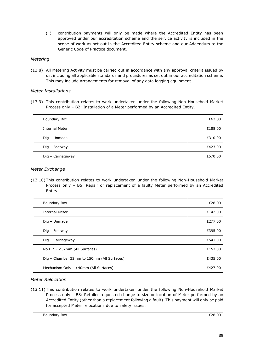(ii) contribution payments will only be made where the Accredited Entity has been approved under our accreditation scheme and the service activity is included in the scope of work as set out in the Accredited Entity scheme and our Addendum to the Generic Code of Practice document.

### *Metering*

(13.8) All Metering Activity must be carried out in accordance with any approval criteria issued by us, including all applicable standards and procedures as set out in our accreditation scheme. This may include arrangements for removal of any data logging equipment.

### *Meter Installations*

(13.9) This contribution relates to work undertaken under the following Non-Household Market Process only – B2: Installation of a Meter performed by an Accredited Entity.

| Boundary Box          | £62.00  |
|-----------------------|---------|
| <b>Internal Meter</b> | £188.00 |
| Dig - Unmade          | £310.00 |
| Dig - Footway         | £423.00 |
| Dig - Carriageway     | £570.00 |

### *Meter Exchange*

(13.10) This contribution relates to work undertaken under the following Non-Household Market Process only – B6: Repair or replacement of a faulty Meter performed by an Accredited Entity.

| Boundary Box                               | £28.00  |
|--------------------------------------------|---------|
| <b>Internal Meter</b>                      | £142.00 |
| Dig - Unmade                               | £277.00 |
| Dig - Footway                              | £395.00 |
| Dig - Carriageway                          | £541.00 |
| No Dig - <32mm (All Surfaces)              | £153.00 |
| Dig - Chamber 32mm to 150mm (All Surfaces) | £435.00 |
| Mechanism Only - >40mm (All Surfaces)      | £427.00 |

#### *Meter Relocation*

(13.11) This contribution relates to work undertaken under the following Non-Household Market Process only – B8: Retailer requested change to size or location of Meter performed by an Accredited Entity (other than a replacement following a fault). This payment will only be paid for accepted Meter relocations due to safety issues.

| Boundary<br>Box |  |
|-----------------|--|
|                 |  |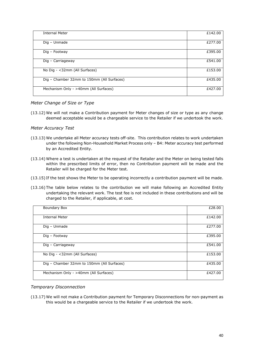| <b>Internal Meter</b>                      | £142.00 |
|--------------------------------------------|---------|
| Dig - Unmade                               | £277.00 |
| Dig - Footway                              | £395.00 |
| Dig - Carriageway                          | £541.00 |
| No Dig - <32mm (All Surfaces)              | £153.00 |
| Dig - Chamber 32mm to 150mm (All Surfaces) | £435.00 |
| Mechanism Only - >40mm (All Surfaces)      | £427.00 |

#### *Meter Change of Size or Type*

(13.12) We will not make a Contribution payment for Meter changes of size or type as any change deemed acceptable would be a chargeable service to the Retailer if we undertook the work.

### *Meter Accuracy Test*

- (13.13) We undertake all Meter accuracy tests off-site. This contribution relates to work undertaken under the following Non-Household Market Process only – B4: Meter accuracy test performed by an Accredited Entity.
- (13.14) Where a test is undertaken at the request of the Retailer and the Meter on being tested falls within the prescribed limits of error, then no Contribution payment will be made and the Retailer will be charged for the Meter test.
- (13.15) If the test shows the Meter to be operating incorrectly a contribution payment will be made.
- (13.16) The table below relates to the contribution we will make following an Accredited Entity undertaking the relevant work. The test fee is not included in these contributions and will be charged to the Retailer, if applicable, at cost.

| Boundary Box                               | £28.00  |
|--------------------------------------------|---------|
| <b>Internal Meter</b>                      | £142.00 |
| Dig - Unmade                               | £277.00 |
| Dig - Footway                              | £395.00 |
| Dig - Carriageway                          | £541.00 |
| No Dig - < 32mm (All Surfaces)             | £153.00 |
| Dig - Chamber 32mm to 150mm (All Surfaces) | £435.00 |
| Mechanism Only - >40mm (All Surfaces)      | £427.00 |

# *Temporary Disconnection*

(13.17) We will not make a Contribution payment for Temporary Disconnections for non-payment as this would be a chargeable service to the Retailer if we undertook the work.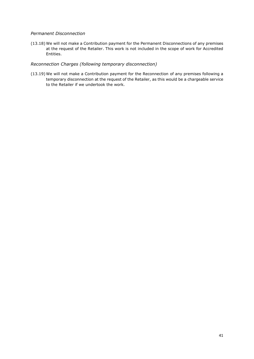## *Permanent Disconnection*

(13.18) We will not make a Contribution payment for the Permanent Disconnections of any premises at the request of the Retailer. This work is not included in the scope of work for Accredited Entities.

### *Reconnection Charges (following temporary disconnection)*

(13.19) We will not make a Contribution payment for the Reconnection of any premises following a temporary disconnection at the request of the Retailer, as this would be a chargeable service to the Retailer if we undertook the work.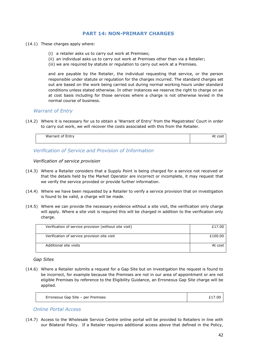# **PART 14: NON-PRIMARY CHARGES**

- (14.1) These charges apply where:
	- (i) a retailer asks us to carry out work at Premises;
	- (ii) an individual asks us to carry out work at Premises other than via a Retailer;
	- (iii) we are required by statute or regulation to carry out work at a Premises.

and are payable by the Retailer, the individual requesting that service, or the person responsible under statute or regulation for the charges incurred. The standard charges set out are based on the work being carried out during normal working hours under standard conditions unless stated otherwise. In other instances we reserve the right to charge on an at cost basis including for those services where a charge is not otherwise levied in the normal course of business.

#### *Warrant of Entry*

(14.2) Where it is necessary for us to obtain a 'Warrant of Entry' from the Magistrates' Court in order to carry out work, we will recover the costs associated with this from the Retailer.

| $\sim$ $-$<br>Warrant of Entry | coc1<br>wou |
|--------------------------------|-------------|
|                                |             |
|                                |             |

*Verification of Service and Provision of Information*

*Verification of service provision* 

- (14.3) Where a Retailer considers that a Supply Point is being charged for a service not received or that the details held by the Market Operator are incorrect or incomplete, it may request that we verify the service provided or provide further information.
- (14.4) Where we have been requested by a Retailer to verify a service provision that on investigation is found to be valid, a charge will be made.
- (14.5) Where we can provide the necessary evidence without a site visit, the verification only charge will apply. Where a site visit is required this will be charged in addition to the verification only charge.

| Verification of service provision (without site visit) | £17.00  |
|--------------------------------------------------------|---------|
|                                                        |         |
|                                                        |         |
|                                                        |         |
| Verification of service provision site visit           | £100.00 |
|                                                        |         |
|                                                        |         |
| Additional site visits                                 | At cost |
|                                                        |         |
|                                                        |         |
|                                                        |         |

*Gap Sites*

(14.6) Where a Retailer submits a request for a Gap Site but on investigation the request is found to be incorrect, for example because the Premises are not in our area of appointment or are not eligible Premises by reference to the Eligibility Guidance, an Erroneous Gap Site charge will be applied.

| Erroneous Gap Site - per Premises<br>7.00 |
|-------------------------------------------|
|-------------------------------------------|

*Online Portal Access*

(14.7) Access to the Wholesale Service Centre online portal will be provided to Retailers in line with our Bilateral Policy. If a Retailer requires additional access above that defined in the Policy,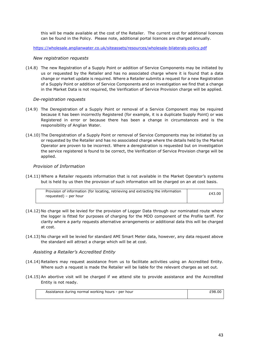this will be made available at the cost of the Retailer. The current cost for additional licences can be found in the Policy. Please note, additional portal licences are charged annually.

<https://wholesale.anglianwater.co.uk/siteassets/resources/wholesale-bilaterals-policy.pdf>

#### *New registration requests*

(14.8) The new Registration of a Supply Point or addition of Service Components may be initiated by us or requested by the Retailer and has no associated charge where it is found that a data change or market update is required. Where a Retailer submits a request for a new Registration of a Supply Point or addition of Service Components and on investigation we find that a change in the Market Data is not required, the Verification of Service Provision charge will be applied.

#### *De-registration requests*

- (14.9) The Deregistration of a Supply Point or removal of a Service Component may be required because it has been incorrectly Registered (for example, it is a duplicate Supply Point) or was Registered in error or because there has been a change in circumstances and is the responsibility of Anglian Water.
- (14.10) The Deregistration of a Supply Point or removal of Service Components may be initiated by us or requested by the Retailer and has no associated charge where the details held by the Market Operator are proven to be incorrect. Where a deregistration is requested but on investigation the service registered is found to be correct, the Verification of Service Provision charge will be applied.

#### *Provision of Information*

(14.11) Where a Retailer requests information that is not available in the Market Operator's systems but is held by us then the provision of such information will be charged on an at cost basis.

| Provision of information (for locating, retrieving and extracting the information | £43.00 |
|-----------------------------------------------------------------------------------|--------|
| requested) – per hour                                                             |        |
|                                                                                   |        |

- (14.12) No charge will be levied for the provision of Logger Data through our nominated route where the logger is fitted for purposes of charging for the MDD component of the Profile tariff. For clarity where a party requests alternative arrangements or additional data this will be charged at cost.
- (14.13) No charge will be levied for standard AMI Smart Meter data, however, any data request above the standard will attract a charge which will be at cost.

#### *Assisting a Retailer's Accredited Entity*

- (14.14) Retailers may request assistance from us to facilitate activities using an Accredited Entity. Where such a request is made the Retailer will be liable for the relevant charges as set out.
- (14.15) An abortive visit will be charged if we attend site to provide assistance and the Accredited Entity is not ready.

| Assistance during normal working hours - per hour | £98.00 |
|---------------------------------------------------|--------|
|                                                   |        |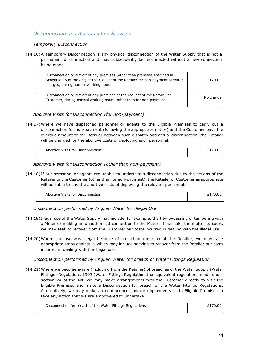# *Disconnection and Reconnection Services*

#### *Temporary Disconnection*

(14.16) A Temporary Disconnection is any physical disconnection of the Water Supply that is not a permanent disconnection and may subsequently be reconnected without a new connection being made.

| Disconnection or cut-off of any premises (other than premises specified in<br>Schedule 4A of the Act) at the request of the Retailer for non-payment of water<br>charges, during normal working hours | £170.00   |
|-------------------------------------------------------------------------------------------------------------------------------------------------------------------------------------------------------|-----------|
| Disconnection or cut-off of any premises at the request of the Retailer or<br>Customer, during normal working hours, other than for non-payment                                                       | No charge |

*Abortive Visits for Disconnection (for non-payment)*

(14.17) Where we have dispatched personnel or agents to the Eligible Premises to carry out a disconnection for non-payment (following the appropriate notice) and the Customer pays the overdue amount to the Retailer between such dispatch and actual disconnection, the Retailer will be charged for the abortive costs of deploying such personnel.

| Abortive Visits for Disconnection | 00 |
|-----------------------------------|----|
|                                   |    |

### *Abortive Visits for Disconnection (other than non-payment)*

(14.18) If our personnel or agents are unable to undertake a disconnection due to the actions of the Retailer or the Customer (other than for non-payment), the Retailer or Customer as appropriate will be liable to pay the abortive costs of deploying the relevant personnel.

| Abortive Visits for Disconnection |  |
|-----------------------------------|--|
|                                   |  |

*Disconnection performed by Anglian Water for Illegal Use*

- (14.19) Illegal use of the Water Supply may include, for example, theft by bypassing or tampering with a Meter or making an unauthorised connection to the Meter. If we take the matter to court, we may seek to recover from the Customer our costs incurred in dealing with the illegal use.
- (14.20) Where the use was illegal because of an act or omission of the Retailer, we may take appropriate steps against it, which may include seeking to recover from the Retailer our costs incurred in dealing with the illegal use.

*Disconnection performed by Anglian Water for breach of Water Fittings Regulation*

(14.21) Where we become aware (including from the Retailer) of breaches of the Water Supply (Water Fittings) Regulations 1999 (Water Fittings Regulations) or equivalent regulations made under section 74 of the Act, we may make arrangements with the Customer directly to visit the Eligible Premises and make a Disconnection for breach of the Water Fittings Regulations. Alternatively, we may make an unannounced and/or unplanned visit to Eligible Premises to take any action that we are empowered to undertake.

| Disconnection for breach of the Water Fittings Regulations | £170.00 |
|------------------------------------------------------------|---------|
|                                                            |         |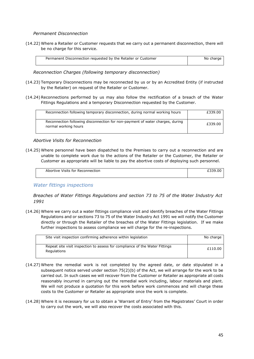*Permanent Disconnection*

(14.22) Where a Retailer or Customer requests that we carry out a permanent disconnection, there will be no charge for this service.

| Permanent Disconnection requested by the Retailer or Customer | No charge |
|---------------------------------------------------------------|-----------|

*Reconnection Charges (following temporary disconnection)*

- (14.23) Temporary Disconnections may be reconnected by us or by an Accredited Entity (if instructed by the Retailer) on request of the Retailer or Customer.
- (14.24) Reconnections performed by us may also follow the rectification of a breach of the Water Fittings Regulations and a temporary Disconnection requested by the Customer.

| Reconnection following temporary disconnection, during normal working hours                           | £339.00 |
|-------------------------------------------------------------------------------------------------------|---------|
| Reconnection following disconnection for non-payment of water charges, during<br>normal working hours | £339.00 |

#### *Abortive Visits for Reconnection*

(14.25) Where personnel have been dispatched to the Premises to carry out a reconnection and are unable to complete work due to the actions of the Retailer or the Customer, the Retailer or Customer as appropriate will be liable to pay the abortive costs of deploying such personnel.

| Abortive Visits for Reconnection |  |
|----------------------------------|--|
|                                  |  |

*Water fittings inspections*

*Breaches of Water Fittings Regulations and section 73 to 75 of the Water Industry Act 1991*

(14.26) Where we carry out a water fittings compliance visit and identify breaches of the Water Fittings Regulations and or sections 73 to 75 of the Water Industry Act 1991 we will notify the Customer directly or through the Retailer of the breaches of the Water Fittings legislation. If we make further inspections to assess compliance we will charge for the re-inspections.

| Site visit inspection confirming adherence within legislation                              | No charge |
|--------------------------------------------------------------------------------------------|-----------|
| Repeat site visit inspection to assess for compliance of the Water Fittings<br>Regulations | £110.00   |

- (14.27) Where the remedial work is not completed by the agreed date, or date stipulated in a subsequent notice served under section  $75(2)(b)$  of the Act, we will arrange for the work to be carried out. In such cases we will recover from the Customer or Retailer as appropriate all costs reasonably incurred in carrying out the remedial work including, labour materials and plant. We will not produce a quotation for this work before work commences and will charge these costs to the Customer or Retailer as appropriate once the work is complete.
- (14.28) Where it is necessary for us to obtain a 'Warrant of Entry' from the Magistrates' Court in order to carry out the work, we will also recover the costs associated with this.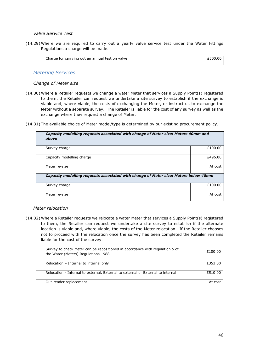#### *Valve Service Test*

(14.29) Where we are required to carry out a yearly valve service test under the Water Fittings Regulations a charge will be made.

| Charge for carrying out an annual test on valve | 0.00.30 |
|-------------------------------------------------|---------|
|                                                 |         |

# *Metering Services*

#### *Change of Meter size*

(14.30) Where a Retailer requests we change a water Meter that services a Supply Point(s) registered to them, the Retailer can request we undertake a site survey to establish if the exchange is viable and, where viable, the costs of exchanging the Meter, or instruct us to exchange the Meter without a separate survey. The Retailer is liable for the cost of any survey as well as the exchange where they request a change of Meter.

(14.31) The available choice of Meter model/type is determined by our existing procurement policy.

| Capacity modelling requests associated with change of Meter size: Meters 40mm and<br>above |         |
|--------------------------------------------------------------------------------------------|---------|
| Survey charge                                                                              | £100.00 |
| Capacity modelling charge                                                                  | £496.00 |
| Meter re-size                                                                              | At cost |
| Capacity modelling requests associated with change of Meter size: Meters below 40mm        |         |
| Survey charge                                                                              | £100.00 |
| Meter re-size                                                                              | At cost |

#### *Meter relocation*

(14.32) Where a Retailer requests we relocate a water Meter that services a Supply Point(s) registered to them, the Retailer can request we undertake a site survey to establish if the alternate location is viable and, where viable, the costs of the Meter relocation. If the Retailer chooses not to proceed with the relocation once the survey has been completed the Retailer remains liable for the cost of the survey.

| Survey to check Meter can be repositioned in accordance with regulation 5 of<br>the Water (Meters) Regulations 1988 | £100.00 |
|---------------------------------------------------------------------------------------------------------------------|---------|
| Relocation - Internal to internal only                                                                              | £353.00 |
| Relocation - Internal to external, External to external or External to internal                                     | £510.00 |
| Out-reader replacement                                                                                              | At cost |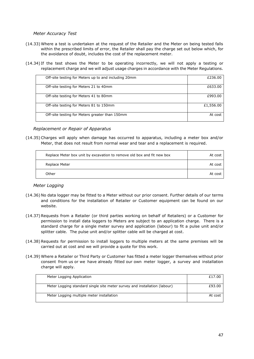*Meter Accuracy Test*

- (14.33) Where a test is undertaken at the request of the Retailer and the Meter on being tested falls within the prescribed limits of error, the Retailer shall pay the charge set out below which, for the avoidance of doubt, includes the cost of the replacement meter.
- (14.34) If the test shows the Meter to be operating incorrectly, we will not apply a testing or replacement charge and we will adjust usage charges in accordance with the Meter Regulations.

| Off-site testing for Meters up to and including 20mm | £236.00   |
|------------------------------------------------------|-----------|
| Off-site testing for Meters 21 to 40mm               | £633.00   |
| Off-site testing for Meters 41 to 80mm               | £993.00   |
| Off-site testing for Meters 81 to 150mm              | £1,556.00 |
| Off-site testing for Meters greater than 150mm       | At cost   |

*Replacement or Repair of Apparatus*

(14.35) Charges will apply when damage has occurred to apparatus, including a meter box and/or Meter, that does not result from normal wear and tear and a replacement is required.

| Replace Meter box unit by excavation to remove old box and fit new box | At cost |
|------------------------------------------------------------------------|---------|
| Replace Meter                                                          | At cost |
| Other                                                                  | At cost |

#### *Meter Logging*

- (14.36) No data logger may be fitted to a Meter without our prior consent. Further details of our terms and conditions for the installation of Retailer or Customer equipment can be found on our website.
- (14.37) Requests from a Retailer (or third parties working on behalf of Retailers) or a Customer for permission to install data loggers to Meters are subject to an application charge. There is a standard charge for a single meter survey and application (labour) to fit a pulse unit and/or splitter cable. The pulse unit and/or splitter cable will be charged at cost.
- (14.38) Requests for permission to install loggers to multiple meters at the same premises will be carried out at cost and we will provide a quote for this work.
- (14.39) Where a Retailer or Third Party or Customer has fitted a meter logger themselves without prior consent from us or we have already fitted our own meter logger, a survey and installation charge will apply.

| Meter Logging Application                                                 | £17.00  |
|---------------------------------------------------------------------------|---------|
| Meter Logging standard single site meter survey and installation (labour) | £93.00  |
| Meter Logging multiple meter installation                                 | At cost |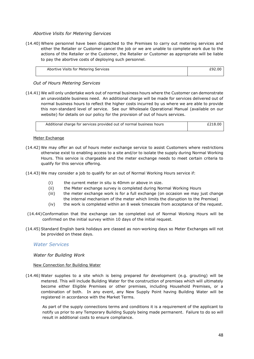#### *Abortive Visits for Metering Services*

(14.40) Where personnel have been dispatched to the Premises to carry out metering services and either the Retailer or Customer cancel the job or we are unable to complete work due to the actions of the Retailer or the Customer, the Retailer or Customer as appropriate will be liable to pay the abortive costs of deploying such personnel.

| Abortive Visits for Metering Services |  |
|---------------------------------------|--|
|                                       |  |

*Out of Hours Metering Services*

(14.41) We will only undertake work out of normal business hours where the Customer can demonstrate an unavoidable business need. An additional charge will be made for services delivered out of normal business hours to reflect the higher costs incurred by us where we are able to provide this non-standard level of service. See our Wholesale Operational Manual (available on our website) for details on our policy for the provision of out of hours services.

| Additional charge for services provided out of normal business hours | £218.00 |
|----------------------------------------------------------------------|---------|

#### Meter Exchange

- (14.42) We may offer an out of hours meter exchange service to assist Customers where restrictions otherwise exist to enabling access to a site and/or to isolate the supply during Normal Working Hours. This service is chargeable and the meter exchange needs to meet certain criteria to qualify for this service offering.
- (14.43) We may consider a job to qualify for an out of Normal Working Hours service if:
	- (i) the current meter in situ is 40mm or above in size.
	- (ii) the Meter exchange survey is completed during Normal Working Hours
	- (iii) the meter exchange work is for a full exchange (on occasion we may just change the internal mechanism of the meter which limits the disruption to the Premise)
	- (iv) the work is completed within an 8 week timescale from acceptance of the request.
- (14.44)Conformation that the exchange can be completed out of Normal Working Hours will be confirmed on the initial survey within 10 days of the initial request.
- (14.45) Standard English bank holidays are classed as non-working days so Meter Exchanges will not be provided on these days.

#### *Water Services*

#### *Water for Building Work*

#### New Connection for Building Water

(14.46) Water supplies to a site which is being prepared for development (e.g. grouting) will be metered. This will include Building Water for the construction of premises which will ultimately become either Eligible Premises or other premises, including Household Premises, or a combination of both. In any event, any New Supply Point having Building Water will be registered in accordance with the Market Terms.

As part of the supply connections terms and conditions it is a requirement of the applicant to notify us prior to any Temporary Building Supply being made permanent. Failure to do so will result in additional costs to ensure compliance.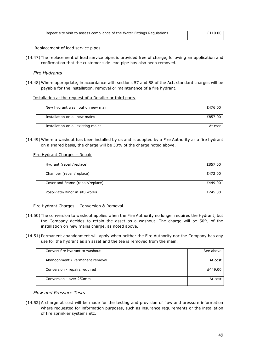| Repeat site visit to assess compliance of the Water Fittings Regulations | £110.00 |
|--------------------------------------------------------------------------|---------|
|                                                                          |         |

Replacement of lead service pipes

(14.47) The replacement of lead service pipes is provided free of charge, following an application and confirmation that the customer side lead pipe has also been removed.

*Fire Hydrants* 

(14.48) Where appropriate, in accordance with sections 57 and 58 of the Act, standard charges will be payable for the installation, removal or maintenance of a fire hydrant.

#### Installation at the request of a Retailer or third party

| New hydrant wash out on new main   | £476.00 |
|------------------------------------|---------|
| Installation on all new mains      | £857.00 |
| Installation on all existing mains | At cost |

(14.49) Where a washout has been installed by us and is adopted by a Fire Authority as a fire hydrant on a shared basis, the charge will be 50% of the charge noted above.

Fire Hydrant Charges – Repair

| Hydrant (repair/replace)         | £857.00 |
|----------------------------------|---------|
| Chamber (repair/replace)         | £472.00 |
| Cover and Frame (repair/replace) | £449.00 |
| Post/Plate/Minor in situ works   | £245.00 |

#### Fire Hydrant Charges – Conversion & Removal

- (14.50) The conversion to washout applies when the Fire Authority no longer requires the Hydrant, but the Company decides to retain the asset as a washout. The charge will be 50% of the installation on new mains charge, as noted above.
- (14.51) Permanent abandonment will apply when neither the Fire Authority nor the Company has any use for the hydrant as an asset and the tee is removed from the main.

| Convert fire hydrant to washout | See above |
|---------------------------------|-----------|
|                                 |           |
|                                 |           |
|                                 |           |
| Abandonment / Permanent removal | At cost   |
|                                 |           |
|                                 |           |
|                                 |           |
| Conversion - repairs required   | £449.00   |
|                                 |           |
|                                 |           |
| Conversion - over 250mm         | At cost   |
|                                 |           |
|                                 |           |
|                                 |           |

#### *Flow and Pressure Tests*

(14.52) A charge at cost will be made for the testing and provision of flow and pressure information where requested for information purposes, such as insurance requirements or the installation of fire sprinkler systems etc.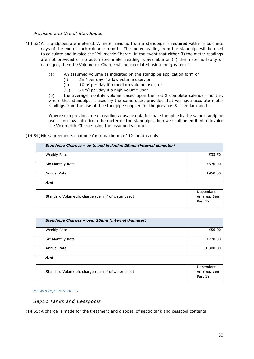#### *Provision and Use of Standpipes*

- (14.53) All standpipes are metered. A meter reading from a standpipe is required within 5 business days of the end of each calendar month. The meter reading from the standpipe will be used to calculate and invoice the Volumetric Charge. In the event that either (i) the meter readings are not provided or no automated meter reading is available or (ii) the meter is faulty or damaged, then the Volumetric Charge will be calculated using the greater of:
	- (a) An assumed volume as indicated on the standpipe application form of
		- $(i)$  5m<sup>3</sup> per day if a low volume user; or
		- (ii)  $10m<sup>3</sup>$  per day if a medium volume user; or
		- (iii)  $20m^3$  per day if a high volume user.

(b) the average monthly volume based upon the last 3 complete calendar months, where that standpipe is used by the same user, provided that we have accurate meter readings from the use of the standpipe supplied for the previous 3 calendar months

Where such previous meter readings / usage data for that standpipe by the same standpipe user is not available from the meter on the standpipe, then we shall be entitled to invoice the Volumetric Charge using the assumed volume.

(14.54) Hire agreements continue for a maximum of 12 months only.

| Standpipe Charges - up to and including 25mm (internal diameter) |                                       |
|------------------------------------------------------------------|---------------------------------------|
| Weekly Rate                                                      | £33.50                                |
| Six Monthly Rate                                                 | £570.00                               |
| Annual Rate                                                      | £950.00                               |
| And                                                              |                                       |
| Standard Volumetric charge (per m <sup>3</sup> of water used)    | Dependant<br>on area. See<br>Part 19. |

| Standpipe Charges - over 25mm (internal diameter)   |                                       |
|-----------------------------------------------------|---------------------------------------|
| Weekly Rate                                         | £56.00                                |
| Six Monthly Rate                                    | £720.00                               |
| Annual Rate                                         | £1,300.00                             |
| And                                                 |                                       |
| Standard Volumetric charge (per $m3$ of water used) | Dependant<br>on area. See<br>Part 19. |

# *Sewerage Services*

*Septic Tanks and Cesspools*

(14.55) A charge is made for the treatment and disposal of septic tank and cesspool contents.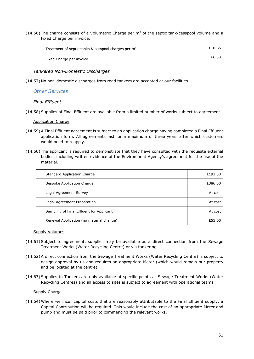(14.56) The charge consists of a Volumetric Charge per  $m<sup>3</sup>$  of the septic tank/cesspool volume and a Fixed Charge per invoice.

| Treatment of septic tanks & cesspool charges per m <sup>3</sup> | £10.65 |
|-----------------------------------------------------------------|--------|
| Fixed Charge per invoice                                        | £6.50  |

#### *Tankered Non-Domestic Discharges*

(14.57) No non-domestic discharges from road tankers are accepted at our facilities.

#### *Other Services*

#### *Final Effluent*

(14.58) Supplies of Final Effluent are available from a limited number of works subject to agreement.

#### Application Charge

- (14.59) A Final Effluent agreement is subject to an application charge having completed a Final Effluent application form. All agreements last for a maximum of three years after which customers would need to reapply.
- (14.60) The applicant is required to demonstrate that they have consulted with the requisite external bodies, including written evidence of the Environment Agency's agreement for the use of the material.

| Standard Application Charge              | £193.00 |
|------------------------------------------|---------|
| Bespoke Application Charge               | £386.00 |
| Legal Agreement Survey                   | At cost |
| Legal Agreement Preparation              | At cost |
| Sampling of Final Effluent for Applicant | At cost |
| Renewal Application (no material change) | £55.00  |

#### Supply Volumes

- (14.61) Subject to agreement, supplies may be available as a direct connection from the Sewage Treatment Works (Water Recycling Centre) or via tankering.
- (14.62) A direct connection from the Sewage Treatment Works (Water Recycling Centre) is subject to design approval by us and requires an appropriate Meter (which would remain our property and be located at the centre).
- (14.63) Supplies to Tankers are only available at specific points at Sewage Treatment Works (Water Recycling Centres) and all access to sites is subject to agreement with operational teams.

#### Supply Charge

(14.64) Where we incur capital costs that are reasonably attributable to the Final Effluent supply, a Capital Contribution will be required. This would include the cost of an appropriate Meter and pump and must be paid prior to commencing the relevant works.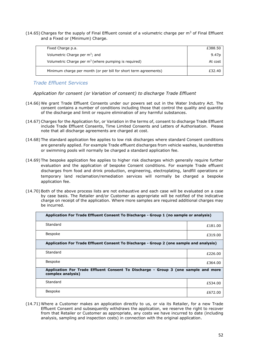(14.65) Charges for the supply of Final Effluent consist of a volumetric charge per  $m<sup>3</sup>$  of Final Effluent and a Fixed or (Minimum) Charge.

| Fixed Charge p.a.                                                | £388.50           |
|------------------------------------------------------------------|-------------------|
| Volumetric Charge per m <sup>3</sup> ; and                       | 9.47 <sub>p</sub> |
| Volumetric Charge per $m3$ (where pumping is required)           | At cost           |
| Minimum charge per month (or per bill for short term agreements) | £32.40            |

*Trade Effluent Services*

*Application for consent (or Variation of consent) to discharge Trade Effluent*

- (14.66) We grant Trade Effluent Consents under our powers set out in the Water Industry Act. The consent contains a number of conditions including those that control the quality and quantity of the discharge and limit or require elimination of any harmful substances.
- (14.67) Charges for the Application for, or Variation in the terms of, consent to discharge Trade Effluent include Trade Effluent Consents, Time Limited Consents and Letters of Authorisation. Please note that all discharge agreements are charged at cost.
- (14.68) The standard application fee applies to low risk discharges where standard Consent conditions are generally applied. For example Trade effluent discharges from vehicle washes, launderettes or swimming pools will normally be charged a standard application fee.
- (14.69) The bespoke application fee applies to higher risk discharges which generally require further evaluation and the application of bespoke Consent conditions. For example Trade effluent discharges from food and drink production, engineering, electroplating, landfill operations or temporary land reclamation/remediation services will normally be charged a bespoke application fee.
- (14.70) Both of the above process lists are not exhaustive and each case will be evaluated on a case by case basis. The Retailer and/or Customer as appropriate will be notified of the indicative charge on receipt of the application. Where more samples are required additional charges may be incurred.

| Application For Trade Effluent Consent To Discharge - Group 1 (no sample or analysis)                   |         |
|---------------------------------------------------------------------------------------------------------|---------|
| Standard                                                                                                | £181.00 |
| <b>Bespoke</b>                                                                                          | £319.00 |
| Application For Trade Effluent Consent To Discharge - Group 2 (one sample and analysis)                 |         |
| Standard                                                                                                | £226.00 |
| Bespoke                                                                                                 | £364.00 |
| Application For Trade Effluent Consent To Discharge - Group 3 (one sample and more<br>complex analysis) |         |
| Standard                                                                                                | £534.00 |
| <b>Bespoke</b>                                                                                          | £672.00 |

(14.71) Where a Customer makes an application directly to us, or via its Retailer, for a new Trade Effluent Consent and subsequently withdraws the application, we reserve the right to recover from that Retailer or Customer as appropriate, any costs we have incurred to date (including analysis, sampling and inspection costs) in connection with the original application.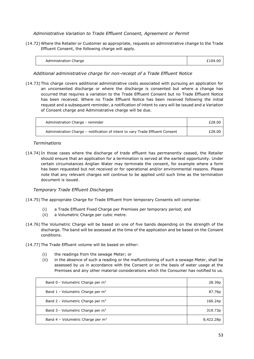### *Administrative Variation to Trade Effluent Consent, Agreement or Permit*

(14.72) Where the Retailer or Customer as appropriate, requests an administrative change to the Trade Effluent Consent, the following charge will apply.

| Administration Charge | £104.00 |
|-----------------------|---------|
|                       |         |

### *Additional administrative charge for non-receipt of a Trade Effluent Notice*

(14.73) This charge covers additional administrative costs associated with pursuing an application for an unconsented discharge or where the discharge is consented but where a change has occurred that requires a variation to the Trade Effluent Consent but no Trade Effluent Notice has been received. Where no Trade Effluent Notice has been received following the initial request and a subsequent reminder, a notification of intent to vary will be issued and a Variation of Consent charge and Administrative charge will be due.

| Administration Charge - reminder                                              | £28.00 |
|-------------------------------------------------------------------------------|--------|
| Administration Charge - notification of intent to vary Trade Effluent Consent | £28.00 |

#### *Terminations*

(14.74) In those cases where the discharge of trade effluent has permanently ceased, the Retailer should ensure that an application for a termination is served at the earliest opportunity. Under certain circumstances Anglian Water may terminate the consent, for example where a form has been requested but not received or for operational and/or environmental reasons. Please note that any relevant charges will continue to be applied until such time as the termination document is issued.

#### *Temporary Trade Effluent Discharges*

- (14.75) The appropriate Charge for Trade Effluent from temporary Consents will comprise:
	- (i) a Trade Effluent Fixed Charge per Premises per temporary period; and
	- (ii) a Volumetric Charge per cubic metre.
- (14.76) The Volumetric Charge will be based on one of five bands depending on the strength of the discharge. The band will be assessed at the time of the application and be based on the Consent conditions.
- (14.77) The Trade Effluent volume will be based on either:
	- (i) the readings from the sewage Meter; or
	- (ii) in the absence of such a reading or the malfunctioning of such a sewage Meter, shall be assessed by us in accordance with the Consent or on the basis of water usage at the Premises and any other material considerations which the Consumer has notified to us.

| Band 0 - Volumetric Charge per $m3$           | 28.39 <sub>p</sub> |
|-----------------------------------------------|--------------------|
| Band 1 - Volumetric Charge per $m3$           | 87.76p             |
| Band 2 - Volumetric Charge per $m3$           | 166.24p            |
| Band 3 - Volumetric Charge per m <sup>3</sup> | 319.73p            |
| Band 4 - Volumetric Charge per $m3$           | 8,422.28p          |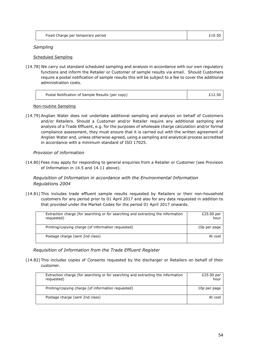| Fixed Charge per temporary period | £10.50 |
|-----------------------------------|--------|
|                                   |        |

### *Sampling*

### Scheduled Sampling

(14.78) We carry out standard scheduled sampling and analysis in accordance with our own regulatory functions and inform the Retailer or Customer of sample results via email. Should Customers require a postal notification of sample results this will be subject to a fee to cover the additional administration costs.

| Postal Notification of Sample Results (per copy) | £12.50 |
|--------------------------------------------------|--------|
|                                                  |        |

#### Non-routine Sampling

(14.79) Anglian Water does not undertake additional sampling and analysis on behalf of Customers and/or Retailers. Should a Customer and/or Retailer require any additional sampling and analysis of a Trade Effluent, e.g. for the purposes of wholesale charge calculation and/or formal compliance assessment, they must ensure that it is carried out with the written agreement of Anglian Water and, unless otherwise agreed, using a sampling and analytical process accredited in accordance with a minimum standard of ISO 17025.

### *Provision of information*

(14.80) Fees may apply for responding to general enquiries from a Retailer or Customer (see Provision of Information in 14.5 and 14.11 above).

# *Requisition of Information in accordance with the Environmental Information Regulations 2004*

(14.81) This includes trade effluent sample results requested by Retailers or their non-household customers for any period prior to 01 April 2017 and also for any data requested in addition to that provided under the Market Codes for the period 01 April 2017 onwards.

| Extraction charge (for searching or for searching and extracting the information<br>requested) | £25.00 per<br>hour |
|------------------------------------------------------------------------------------------------|--------------------|
| Printing/copying charge (of information requested)                                             | 10p per page       |
| Postage charge (sent 2nd class)                                                                | At cost            |

*Requisition of Information from the Trade Effluent Register*

(14.82) This includes copies of Consents requested by the discharger or Retailers on behalf of their customer.

| Extraction charge (for searching or for searching and extracting the information<br>requested) | £25.00 per<br>hour |
|------------------------------------------------------------------------------------------------|--------------------|
| Printing/copying charge (of information requested)                                             | 10p per page       |
| Postage charge (sent 2nd class)                                                                | At cost            |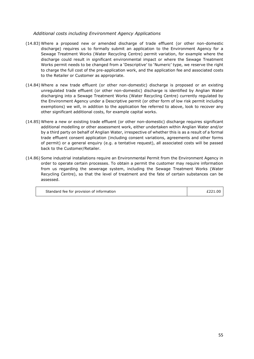#### *Additional costs including Environment Agency Applications*

- (14.83) Where a proposed new or amended discharge of trade effluent (or other non-domestic discharge) requires us to formally submit an application to the Environment Agency for a Sewage Treatment Works (Water Recycling Centre) permit variation, for example where the discharge could result in significant environmental impact or where the Sewage Treatment Works permit needs to be changed from a 'Descriptive' to 'Numeric' type, we reserve the right to charge the full cost of the pre-application work, and the application fee and associated costs to the Retailer or Customer as appropriate.
- (14.84) Where a new trade effluent (or other non-domestic) discharge is proposed or an existing unregulated trade effluent (or other non-domestic) discharge is identified by Anglian Water discharging into a Sewage Treatment Works (Water Recycling Centre) currently regulated by the Environment Agency under a Descriptive permit (or other form of low risk permit including exemptions) we will, in addition to the application fee referred to above, look to recover any other significant additional costs, for example capital works.
- (14.85) Where a new or existing trade effluent (or other non-domestic) discharge requires significant additional modelling or other assessment work, either undertaken within Anglian Water and/or by a third party on behalf of Anglian Water, irrespective of whether this is as a result of a formal trade effluent consent application (including consent variations, agreements and other forms of permit) or a general enquiry (e.g. a tentative request), all associated costs will be passed back to the Customer/Retailer.
- (14.86) Some industrial installations require an Environmental Permit from the Environment Agency in order to operate certain processes. To obtain a permit the customer may require information from us regarding the sewerage system, including the Sewage Treatment Works (Water Recycling Centre), so that the level of treatment and the fate of certain substances can be assessed.

| Standard fee for provision of information | £221.00 |
|-------------------------------------------|---------|
|                                           |         |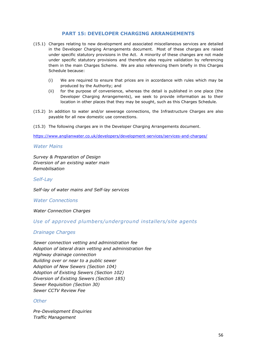# **PART 15: DEVELOPER CHARGING ARRANGEMENTS**

- (15.1) Charges relating to new development and associated miscellaneous services are detailed in the Developer Charging Arrangements document. Most of these charges are raised under specific statutory provisions in the Act. A minority of these changes are not made under specific statutory provisions and therefore also require validation by referencing them in the main Charges Scheme. We are also referencing them briefly in this Charges Schedule because:
	- (i) We are required to ensure that prices are in accordance with rules which may be produced by the Authority; and
	- (ii) for the purpose of convenience, whereas the detail is published in one place (the Developer Charging Arrangements), we seek to provide information as to their location in other places that they may be sought, such as this Charges Schedule.
- (15.2) In addition to water and/or sewerage connections, the Infrastructure Charges are also payable for all new domestic use connections.
- (15.3) The following charges are in the Developer Charging Arrangements document.

<https://www.anglianwater.co.uk/developers/development-services/services-and-charges/>

#### *Water Mains*

*Survey & Preparation of Design Diversion of an existing water main Remobilisation*

*Self-Lay*

*Self-lay of water mains and Self-lay services*

*Water Connections*

*Water Connection Charges*

## *Use of approved plumbers/underground installers/site agents*

#### *Drainage Charges*

*Sewer connection vetting and administration fee Adoption of lateral drain vetting and administration fee Highway drainage connection Building over or near to a public sewer Adoption of New Sewers (Section 104) Adoption of Existing Sewers (Section 102) Diversion of Existing Sewers (Section 185) Sewer Requisition (Section 30) Sewer CCTV Review Fee* 

# *Other*

*Pre-Development Enquiries Traffic Management*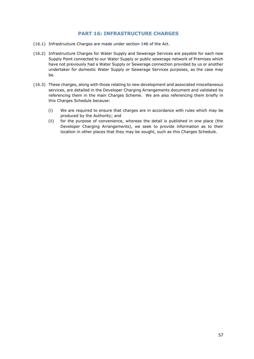# **PART 16: INFRASTRUCTURE CHARGES**

- (16.1) Infrastructure Charges are made under section 146 of the Act.
- (16.2) Infrastructure Charges for Water Supply and Sewerage Services are payable for each new Supply Point connected to our Water Supply or public sewerage network of Premises which have not previously had a Water Supply or Sewerage connection provided by us or another undertaker for domestic Water Supply or Sewerage Services purposes, as the case may be.
- (16.3) These charges, along with those relating to new development and associated miscellaneous services, are detailed in the Developer Charging Arrangements document and validated by referencing them in the main Charges Scheme. We are also referencing them briefly in this Charges Schedule because:
	- (i) We are required to ensure that charges are in accordance with rules which may be produced by the Authority; and
	- (ii) for the purpose of convenience, whereas the detail is published in one place (the Developer Charging Arrangements), we seek to provide information as to their location in other places that they may be sought, such as this Charges Schedule.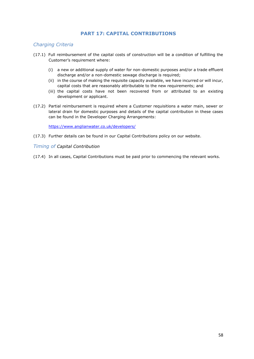# **PART 17: CAPITAL CONTRIBUTIONS**

# *Charging Criteria*

- (17.1) Full reimbursement of the capital costs of construction will be a condition of fulfilling the Customer's requirement where:
	- (i) a new or additional supply of water for non-domestic purposes and/or a trade effluent discharge and/or a non-domestic sewage discharge is required;
	- (ii) in the course of making the requisite capacity available, we have incurred or will incur, capital costs that are reasonably attributable to the new requirements; and
	- (iii) the capital costs have not been recovered from or attributed to an existing development or applicant.
- (17.2) Partial reimbursement is required where a Customer requisitions a water main, sewer or lateral drain for domestic purposes and details of the capital contribution in these cases can be found in the Developer Charging Arrangements:

<https://www.anglianwater.co.uk/developers/>

(17.3) Further details can be found in our Capital Contributions policy on our website.

#### *Timing of Capital Contribution*

(17.4) In all cases, Capital Contributions must be paid prior to commencing the relevant works.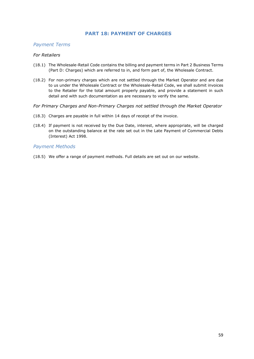# **PART 18: PAYMENT OF CHARGES**

### *Payment Terms*

#### *For Retailers*

- (18.1) The Wholesale-Retail Code contains the billing and payment terms in Part 2 Business Terms (Part D: Charges) which are referred to in, and form part of, the Wholesale Contract.
- (18.2) For non-primary charges which are not settled through the Market Operator and are due to us under the Wholesale Contract or the Wholesale-Retail Code, we shall submit invoices to the Retailer for the total amount properly payable, and provide a statement in such detail and with such documentation as are necessary to verify the same.
- *For Primary Charges and Non-Primary Charges not settled through the Market Operator*
- (18.3) Charges are payable in full within 14 days of receipt of the invoice.
- (18.4) If payment is not received by the Due Date, interest, where appropriate, will be charged on the outstanding balance at the rate set out in the Late Payment of Commercial Debts (Interest) Act 1998.

### *Payment Methods*

(18.5) We offer a range of payment methods. Full details are set out on our website.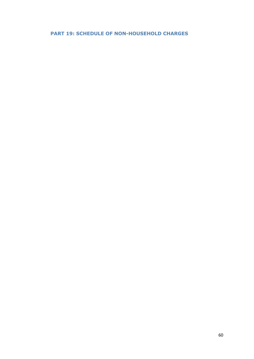# **PART 19: SCHEDULE OF NON-HOUSEHOLD CHARGES**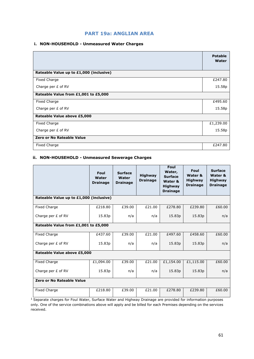# **i. NON-HOUSEHOLD - Unmeasured Water Charges**

|                                         | <b>Potable</b><br>Water |
|-----------------------------------------|-------------------------|
| Rateable Value up to £1,000 (inclusive) |                         |
| Fixed Charge                            | £247.80                 |
| Charge per £ of RV                      | 15.58p                  |
| Rateable Value from £1,001 to £5,000    |                         |
| Fixed Charge                            | £495.60                 |
| Charge per $E$ of RV                    | 15.58p                  |
| Rateable Value above £5,000             |                         |
| Fixed Charge                            | £1,239.00               |
| Charge per £ of RV                      | 15.58p                  |
| <b>Zero or No Rateable Value</b>        |                         |
| Fixed Charge                            | £247.80                 |

# **ii. NON-HOUSEHOLD - Unmeasured Sewerage Charges**

|                                         | Foul<br>Water<br><b>Drainage</b> | <b>Surface</b><br>Water<br><b>Drainage</b> | <b>Highway</b><br><b>Drainage</b> | Foul<br>Water,<br><b>Surface</b><br>Water &<br><b>Highway</b><br><b>Drainage</b> | Foul<br>Water &<br><b>Highway</b><br><b>Drainage</b> | <b>Surface</b><br>Water &<br><b>Highway</b><br><b>Drainage</b> |
|-----------------------------------------|----------------------------------|--------------------------------------------|-----------------------------------|----------------------------------------------------------------------------------|------------------------------------------------------|----------------------------------------------------------------|
| Rateable Value up to £1,000 (inclusive) |                                  |                                            |                                   |                                                                                  |                                                      |                                                                |
| Fixed Charge                            | £218.80                          | £39.00                                     | £21.00                            | £278.80                                                                          | £239.80                                              | £60.00                                                         |
| Charge per £ of RV                      | 15.83p                           | n/a                                        | n/a                               | 15.83p                                                                           | 15.83p                                               | n/a                                                            |
| Rateable Value from £1,001 to £5,000    |                                  |                                            |                                   |                                                                                  |                                                      |                                                                |
| <b>Fixed Charge</b>                     | £437.60                          | £39.00                                     | £21.00                            | £497.60                                                                          | £458.60                                              | £60.00                                                         |
| Charge per £ of RV                      | 15.83p                           | n/a                                        | n/a                               | 15.83p                                                                           | 15.83p                                               | n/a                                                            |
| Rateable Value above £5,000             |                                  |                                            |                                   |                                                                                  |                                                      |                                                                |
| Fixed Charge                            | £1,094.00                        | £39.00                                     | £21.00                            | £1,154.00                                                                        | £1,115.00                                            | £60.00                                                         |
| Charge per £ of RV                      | 15.83p                           | n/a                                        | n/a                               | 15.83p                                                                           | 15.83p                                               | n/a                                                            |
| Zero or No Rateable Value               |                                  |                                            |                                   |                                                                                  |                                                      |                                                                |
| <b>Fixed Charge</b>                     | £218.80                          | £39.00                                     | £21.00                            | £278.80                                                                          | £239.80                                              | £60.00                                                         |

<sup>1</sup> Separate charges for Foul Water, Surface Water and Highway Drainage are provided for information purposes only. One of the service combinations above will apply and be billed for each Premises depending on the services received.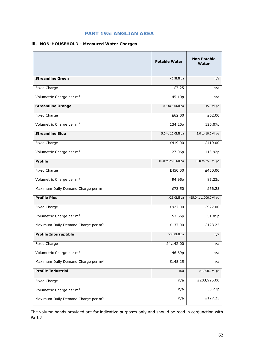### **iii. NON-HOUSEHOLD - Measured Water Charges**

|                                                | <b>Potable Water</b> | <b>Non Potable</b><br>Water |
|------------------------------------------------|----------------------|-----------------------------|
| <b>Streamline Green</b>                        | <0.5Ml pa            | n/a                         |
| Fixed Charge                                   | £7.25                | n/a                         |
| Volumetric Charge per m <sup>3</sup>           | 145.10p              | n/a                         |
| <b>Streamline Orange</b>                       | 0.5 to 5.0Ml pa      | <5.0Ml pa                   |
| Fixed Charge                                   | $\overline{£62.00}$  | £62.00                      |
| Volumetric Charge per m <sup>3</sup>           | 134.20p              | 120.07p                     |
| <b>Streamline Blue</b>                         | 5.0 to 10.0Ml pa     | 5.0 to 10.0Ml pa            |
| Fixed Charge                                   | £419.00              | £419.00                     |
| Volumetric Charge per m <sup>3</sup>           | 127.06p              | 113.92p                     |
| <b>Profile</b>                                 | 10.0 to 25.0 Ml pa   | 10.0 to 25.0Ml pa           |
| Fixed Charge                                   | £450.00              | £450.00                     |
| Volumetric Charge per m <sup>3</sup>           | 94.95p               | 85.23p                      |
| Maximum Daily Demand Charge per m <sup>3</sup> | £73.50               | £66.25                      |
| <b>Profile Plus</b>                            | >25.0Ml pa           | >25.0 to 1,000.0Ml pa       |
| Fixed Charge                                   | £927.00              | £927.00                     |
| Volumetric Charge per m <sup>3</sup>           | 57.66p               | 51.89p                      |
| Maximum Daily Demand Charge per m <sup>3</sup> | £137.00              | £123.25                     |
| <b>Profile Interruptible</b>                   | $>35.0$ Ml pa        | n/a                         |
| Fixed Charge                                   | £4,142.00            | n/a                         |
| Volumetric Charge per m <sup>3</sup>           | 46.89p               | n/a                         |
| Maximum Daily Demand Charge per m <sup>3</sup> | £145.25              | n/a                         |
| <b>Profile Industrial</b>                      | n/a                  | >1,000.0Ml pa               |
| Fixed Charge                                   | n/a                  | £203,925.00                 |
| Volumetric Charge per m <sup>3</sup>           | n/a                  | 30.27p                      |
| Maximum Daily Demand Charge per m <sup>3</sup> | n/a                  | £127.25                     |

The volume bands provided are for indicative purposes only and should be read in conjunction with Part 7.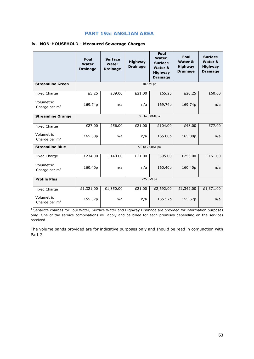#### **iv. NON-HOUSEHOLD - Measured Sewerage Charges**

|                               | Foul<br>Water<br><b>Drainage</b> | <b>Surface</b><br>Water<br><b>Drainage</b> | <b>Highway</b><br><b>Drainage</b> | Foul<br>Water,<br><b>Surface</b><br>Water &<br><b>Highway</b><br><b>Drainage</b> | Foul<br>Water &<br><b>Highway</b><br><b>Drainage</b> | <b>Surface</b><br>Water &<br><b>Highway</b><br><b>Drainage</b> |
|-------------------------------|----------------------------------|--------------------------------------------|-----------------------------------|----------------------------------------------------------------------------------|------------------------------------------------------|----------------------------------------------------------------|
| <b>Streamline Green</b>       |                                  |                                            | <0.5Ml pa                         |                                                                                  |                                                      |                                                                |
| <b>Fixed Charge</b>           | £5.25                            | £39.00                                     | £21.00                            | £65.25                                                                           | £26.25                                               | £60.00                                                         |
| Volumetric<br>Charge per $m3$ | 169.74p                          | n/a                                        | n/a                               | 169.74p                                                                          | 169.74p                                              | n/a                                                            |
| <b>Streamline Orange</b>      | 0.5 to 5.0Ml pa                  |                                            |                                   |                                                                                  |                                                      |                                                                |
| <b>Fixed Charge</b>           | £27.00                           | £56.00                                     | £21.00                            | £104.00                                                                          | £48.00                                               | £77.00                                                         |
| Volumetric<br>Charge per $m3$ | 165.00p                          | n/a                                        | n/a                               | 165.00p                                                                          | 165.00p                                              | n/a                                                            |
| <b>Streamline Blue</b>        |                                  |                                            | 5.0 to 25.0Ml pa                  |                                                                                  |                                                      |                                                                |
| <b>Fixed Charge</b>           | £234.00                          | £140.00                                    | £21.00                            | £395.00                                                                          | £255.00                                              | £161.00                                                        |
| Volumetric<br>Charge per $m3$ | 160.40p                          | n/a                                        | n/a                               | 160.40p                                                                          | 160.40p                                              | n/a                                                            |
| <b>Profile Plus</b>           | >25.0Ml pa                       |                                            |                                   |                                                                                  |                                                      |                                                                |
| <b>Fixed Charge</b>           | £1,321.00                        | £1,350.00                                  | £21.00                            | £2,692.00                                                                        | £1,342.00                                            | £1,371.00                                                      |
| Volumetric<br>Charge per $m3$ | 155.57p                          | n/a                                        | n/a                               | 155.57p                                                                          | 155.57p                                              | n/a                                                            |

1Separate charges for Foul Water, Surface Water and Highway Drainage are provided for information purposes only. One of the service combinations will apply and be billed for each premises depending on the services received.

The volume bands provided are for indicative purposes only and should be read in conjunction with Part 7.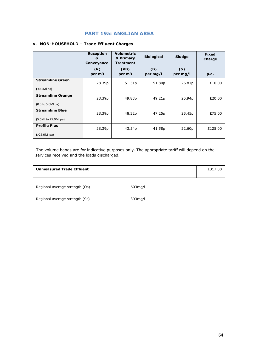### **v. NON-HOUSEHOLD – Trade Effluent Charges**

|                          | <b>Reception</b><br>&<br>Conveyance | <b>Volumetric</b><br>& Primary<br><b>Treatment</b> | <b>Biological</b>  | Sludge             | <b>Fixed</b><br>Charge |
|--------------------------|-------------------------------------|----------------------------------------------------|--------------------|--------------------|------------------------|
|                          | (R)<br>per m3                       | (VB)<br>per m3                                     | (B)<br>per mg/l    | (S)<br>per mg/l    | p.a.                   |
| <b>Streamline Green</b>  | 28.39p                              | 51.31p                                             | 51.80p             | 26.81p             | £10.00                 |
| $(0.5Ml pa)$             |                                     |                                                    |                    |                    |                        |
| <b>Streamline Orange</b> | 28.39 <sub>p</sub>                  | 49.83p                                             | 49.21 <sub>p</sub> | 25.94 <sub>p</sub> | £20.00                 |
| $(0.5$ to 5.0Ml pa)      |                                     |                                                    |                    |                    |                        |
| <b>Streamline Blue</b>   | 28.39p                              | 48.32p                                             | 47.25p             | 25.45p             | £75.00                 |
| (5.0Ml to 25.0Ml pa)     |                                     |                                                    |                    |                    |                        |
| <b>Profile Plus</b>      | 28.39p                              | 43.54p                                             | 41.58p             | 22.60p             | £125.00                |
| $(>25.0Ml$ pa)           |                                     |                                                    |                    |                    |                        |

The volume bands are for indicative purposes only. The appropriate tariff will depend on the services received and the loads discharged.

#### **Unmeasured Trade Effluent Example 2017.00 E** 217.00

Regional average strength (Os) 603mg/l

Regional average strength (Ss) 393mg/l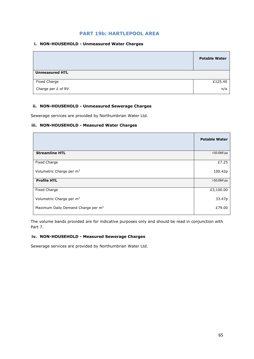# **PART 19b: HARTLEPOOL AREA**

#### **i. NON-HOUSEHOLD - Unmeasured Water Charges**

|                       | <b>Potable Water</b> |
|-----------------------|----------------------|
| <b>Unmeasured HTL</b> |                      |
| Fixed Charge          | £125.40              |
| Charge per £ of RV    | n/a                  |

## **ii. NON-HOUSEHOLD - Unmeasured Sewerage Charges**

Sewerage services are provided by Northumbrian Water Ltd.

#### **iii. NON-HOUSEHOLD - Measured Water Charges**

|                                                | <b>Potable Water</b> |
|------------------------------------------------|----------------------|
| <b>Streamline HTL</b>                          | <50.0Ml pa           |
| Fixed Charge                                   | £7.25                |
| Volumetric Charge per m <sup>3</sup>           | 100.42p              |
| <b>Profile HTL</b>                             | >50.0Ml pa           |
| <b>Fixed Charge</b>                            | £3,100.00            |
| Volumetric Charge per m <sup>3</sup>           | 33.47p               |
| Maximum Daily Demand Charge per m <sup>3</sup> | £79.00               |

The volume bands provided are for indicative purposes only and should be read in conjunction with Part 7.

#### **iv. NON-HOUSEHOLD - Measured Sewerage Charges**

Sewerage services are provided by Northumbrian Water Ltd.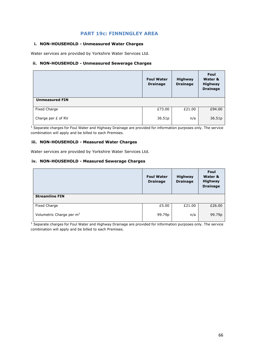# **PART 19c: FINNINGLEY AREA**

#### **i. NON-HOUSEHOLD - Unmeasured Water Charges**

Water services are provided by Yorkshire Water Services Ltd.

#### **ii. NON-HOUSEHOLD - Unmeasured Sewerage Charges**

|                       | <b>Foul Water</b><br><b>Drainage</b> | <b>Highway</b><br><b>Drainage</b> | Foul<br>Water &<br><b>Highway</b><br><b>Drainage</b> |
|-----------------------|--------------------------------------|-----------------------------------|------------------------------------------------------|
| <b>Unmeasured FIN</b> |                                      |                                   |                                                      |
| <b>Fixed Charge</b>   | £73.00                               | £21.00                            | £94.00                                               |
| Charge per £ of RV    | 36.51p                               | n/a                               | 36.51p                                               |

 $1$  Separate charges for Foul Water and Highway Drainage are provided for information purposes only. The service combination will apply and be billed to each Premises.

### **iii. NON-HOUSEHOLD - Measured Water Charges**

Water services are provided by Yorkshire Water Services Ltd.

#### **iv. NON-HOUSEHOLD - Measured Sewerage Charges**

|                                      | <b>Foul Water</b><br><b>Drainage</b> | <b>Highway</b><br><b>Drainage</b> | Foul<br>Water &<br><b>Highway</b><br><b>Drainage</b> |
|--------------------------------------|--------------------------------------|-----------------------------------|------------------------------------------------------|
| <b>Streamline FIN</b>                |                                      |                                   |                                                      |
| Fixed Charge                         | £5.00                                | £21.00                            | £26.00                                               |
| Volumetric Charge per m <sup>3</sup> | 99.79p                               | n/a                               | 99.79p                                               |

<sup>1</sup> Separate charges for Foul Water and Highway Drainage are provided for information purposes only. The service combination will apply and be billed to each Premises.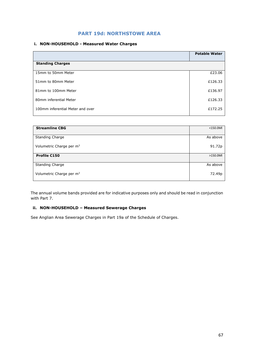# **PART 19d: NORTHSTOWE AREA**

### **i. NON-HOUSEHOLD - Measured Water Charges**

|                                  | <b>Potable Water</b> |
|----------------------------------|----------------------|
| <b>Standing Charges</b>          |                      |
| 15mm to 50mm Meter               | £23.06               |
| 51mm to 80mm Meter               | £126.33              |
| 81mm to 100mm Meter              | £136.97              |
| 80mm inferential Meter           | £126.33              |
| 100mm inferential Meter and over | £172.25              |

| <b>Streamline CBG</b>                | $<$ 150.0Ml |
|--------------------------------------|-------------|
|                                      |             |
| <b>Standing Charge</b>               | As above    |
| Volumetric Charge per m <sup>3</sup> | 91.72p      |
| <b>Profile C150</b>                  | $>150.0$ M  |
|                                      |             |
| <b>Standing Charge</b>               | As above    |
| Volumetric Charge per m <sup>3</sup> | 72.49p      |

The annual volume bands provided are for indicative purposes only and should be read in conjunction with Part 7.

### **ii. NON-HOUSEHOLD – Measured Sewerage Charges**

See Anglian Area Sewerage Charges in Part 19a of the Schedule of Charges.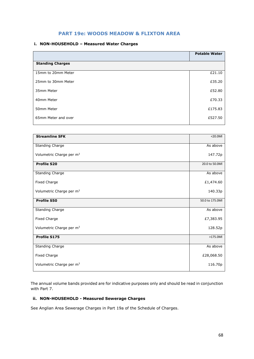# **PART 19e: WOODS MEADOW & FLIXTON AREA**

#### **i. NON-HOUSEHOLD – Measured Water Charges**

|                         | <b>Potable Water</b> |
|-------------------------|----------------------|
| <b>Standing Charges</b> |                      |
| 15mm to 20mm Meter      | £21.10               |
| 25mm to 30mm Meter      | £35.20               |
| 35mm Meter              | £52.80               |
| 40mm Meter              | £70.33               |
| 50mm Meter              | £175.83              |
| 65mm Meter and over     | £527.50              |
|                         |                      |

| <b>Streamline SFK</b>                | $<$ 20.0Ml      |
|--------------------------------------|-----------------|
| Standing Charge                      | As above        |
|                                      |                 |
| Volumetric Charge per m <sup>3</sup> | 147.72p         |
|                                      |                 |
| <b>Profile S20</b>                   | 20.0 to 50.0Ml  |
| Standing Charge                      | As above        |
| Fixed Charge                         | £1,474.60       |
| Volumetric Charge per m <sup>3</sup> | 140.33p         |
|                                      |                 |
| <b>Profile S50</b>                   | 50.0 to 175.0Ml |
|                                      |                 |
| Standing Charge                      | As above        |
| Fixed Charge                         | £7,383.95       |
|                                      |                 |
| Volumetric Charge per m <sup>3</sup> | 128.52p         |
| <b>Profile S175</b>                  | $>175.0$ MI     |
|                                      |                 |
| Standing Charge                      | As above        |
| Fixed Charge                         | £28,068.50      |
|                                      |                 |
| Volumetric Charge per m <sup>3</sup> | 116.70p         |
|                                      |                 |

The annual volume bands provided are for indicative purposes only and should be read in conjunction with Part 7.

#### **ii. NON-HOUSEHOLD - Measured Sewerage Charges**

See Anglian Area Sewerage Charges in Part 19a of the Schedule of Charges.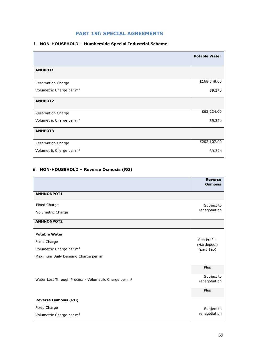# **PART 19f: SPECIAL AGREEMENTS**

### **i. NON-HOUSEHOLD – Humberside Special Industrial Scheme**

|                                      | <b>Potable Water</b> |
|--------------------------------------|----------------------|
| <b>ANHPOT1</b>                       |                      |
| Reservation Charge                   | £168,348.00          |
| Volumetric Charge per m <sup>3</sup> | 39.37p               |
| <b>ANHPOT2</b>                       |                      |
| Reservation Charge                   | £63,224.00           |
| Volumetric Charge per m <sup>3</sup> | 39.37p               |
| <b>ANHPOT3</b>                       |                      |
| Reservation Charge                   | £202,107.00          |
| Volumetric Charge per m <sup>3</sup> | 39.37p               |

# **ii. NON-HOUSEHOLD – Reverse Osmosis (RO)**

|                                                                   | <b>Reverse</b><br><b>Osmosis</b> |
|-------------------------------------------------------------------|----------------------------------|
| <b>ANHNONPOT1</b>                                                 |                                  |
| Fixed Charge                                                      | Subject to                       |
| Volumetric Charge                                                 | renegotiation                    |
| <b>ANHNONPOT2</b>                                                 |                                  |
| <b>Potable Water</b>                                              |                                  |
| <b>Fixed Charge</b>                                               | See Profile<br>(Hartlepool)      |
| Volumetric Charge per m <sup>3</sup>                              | (part 19b)                       |
| Maximum Daily Demand Charge per m <sup>3</sup>                    |                                  |
|                                                                   | Plus                             |
| Water Lost Through Process - Volumetric Charge per m <sup>3</sup> | Subject to<br>renegotiation      |
|                                                                   | Plus                             |
| <b>Reverse Osmosis (RO)</b>                                       |                                  |
| <b>Fixed Charge</b>                                               | Subject to                       |
| Volumetric Charge per m <sup>3</sup>                              | renegotiation                    |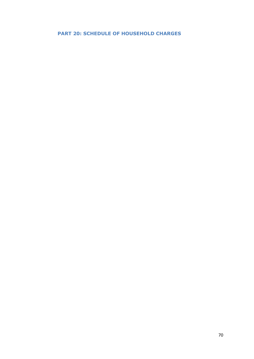# **PART 20: SCHEDULE OF HOUSEHOLD CHARGES**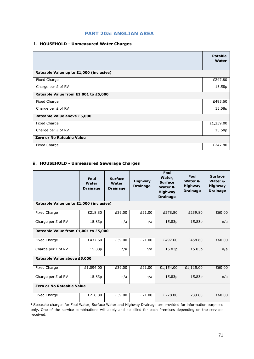### **i. HOUSEHOLD - Unmeasured Water Charges**

|                                         | <b>Potable</b><br>Water |  |  |  |
|-----------------------------------------|-------------------------|--|--|--|
| Rateable Value up to £1,000 (inclusive) |                         |  |  |  |
| Fixed Charge                            | £247.80                 |  |  |  |
| Charge per £ of RV                      | 15.58p                  |  |  |  |
| Rateable Value from £1,001 to £5,000    |                         |  |  |  |
| Fixed Charge                            | £495.60                 |  |  |  |
| Charge per £ of RV                      | 15.58p                  |  |  |  |
| Rateable Value above £5,000             |                         |  |  |  |
| Fixed Charge                            | £1,239.00               |  |  |  |
| Charge per $E$ of RV                    | 15.58p                  |  |  |  |
| <b>Zero or No Rateable Value</b>        |                         |  |  |  |
| Fixed Charge                            | £247.80                 |  |  |  |

### **ii. HOUSEHOLD - Unmeasured Sewerage Charges**

|                                         | Foul<br>Water<br><b>Drainage</b> | <b>Surface</b><br>Water<br><b>Drainage</b> | <b>Highway</b><br><b>Drainage</b> | Foul<br>Water,<br><b>Surface</b><br>Water &<br><b>Highway</b><br><b>Drainage</b> | Foul<br>Water &<br><b>Highway</b><br><b>Drainage</b> | <b>Surface</b><br>Water &<br><b>Highway</b><br><b>Drainage</b> |  |  |
|-----------------------------------------|----------------------------------|--------------------------------------------|-----------------------------------|----------------------------------------------------------------------------------|------------------------------------------------------|----------------------------------------------------------------|--|--|
| Rateable Value up to £1,000 (inclusive) |                                  |                                            |                                   |                                                                                  |                                                      |                                                                |  |  |
| Fixed Charge                            | £218.80                          | £39.00                                     | £21.00                            | £278.80                                                                          | £239.80                                              | £60.00                                                         |  |  |
| Charge per $E$ of RV                    | 15.83p                           | n/a                                        | n/a                               | 15.83p                                                                           | 15.83p                                               | n/a                                                            |  |  |
| Rateable Value from £1,001 to £5,000    |                                  |                                            |                                   |                                                                                  |                                                      |                                                                |  |  |
| <b>Fixed Charge</b>                     | £437.60                          | £39.00                                     | £21.00                            | £497.60                                                                          | £458.60                                              | £60.00                                                         |  |  |
| Charge per £ of RV                      | 15.83p                           | n/a                                        | n/a                               | 15.83p                                                                           | 15.83p                                               | n/a                                                            |  |  |
| Rateable Value above £5,000             |                                  |                                            |                                   |                                                                                  |                                                      |                                                                |  |  |
| Fixed Charge                            | £1,094.00                        | £39.00                                     | £21.00                            | £1,154.00                                                                        | £1,115.00                                            | £60.00                                                         |  |  |
| Charge per £ of RV                      | 15.83p                           | n/a                                        | n/a                               | 15.83p                                                                           | 15.83p                                               | n/a                                                            |  |  |
| Zero or No Rateable Value               |                                  |                                            |                                   |                                                                                  |                                                      |                                                                |  |  |
| <b>Fixed Charge</b>                     | £218.80                          | £39.00                                     | £21.00                            | £278.80                                                                          | £239.80                                              | £60.00                                                         |  |  |

<sup>1</sup> Separate charges for Foul Water, Surface Water and Highway Drainage are provided for information purposes only. One of the service combinations will apply and be billed for each Premises depending on the services received.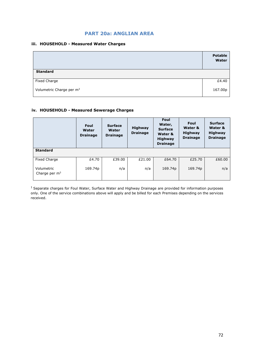### **PART 20a: ANGLIAN AREA**

#### **iii. HOUSEHOLD - Measured Water Charges**

|                                      | <b>Potable</b><br>Water |
|--------------------------------------|-------------------------|
| <b>Standard</b>                      |                         |
| Fixed Charge                         | £4.40                   |
| Volumetric Charge per m <sup>3</sup> | 167.00p                 |

### **iv. HOUSEHOLD - Measured Sewerage Charges**

|                               | Foul<br>Water<br><b>Drainage</b> | <b>Surface</b><br>Water<br><b>Drainage</b> | <b>Highway</b><br><b>Drainage</b> | Foul<br>Water,<br><b>Surface</b><br>Water &<br><b>Highway</b><br><b>Drainage</b> | Foul<br>Water &<br><b>Highway</b><br><b>Drainage</b> | <b>Surface</b><br>Water &<br><b>Highway</b><br><b>Drainage</b> |
|-------------------------------|----------------------------------|--------------------------------------------|-----------------------------------|----------------------------------------------------------------------------------|------------------------------------------------------|----------------------------------------------------------------|
| <b>Standard</b>               |                                  |                                            |                                   |                                                                                  |                                                      |                                                                |
| <b>Fixed Charge</b>           | £4.70                            | £39.00                                     | £21.00                            | £64.70                                                                           | £25.70                                               | £60.00                                                         |
| Volumetric<br>Charge per $m3$ | 169.74p                          | n/a                                        | n/a                               | 169.74p                                                                          | 169.74p                                              | n/a                                                            |

<sup>1</sup> Separate charges for Foul Water, Surface Water and Highway Drainage are provided for information purposes only. One of the service combinations above will apply and be billed for each Premises depending on the services received.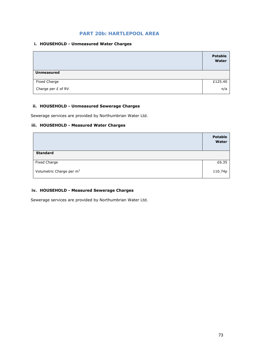### **PART 20b: HARTLEPOOL AREA**

#### **i. HOUSEHOLD - Unmeasured Water Charges**

|                    | <b>Potable</b><br>Water |
|--------------------|-------------------------|
| <b>Unmeasured</b>  |                         |
| Fixed Charge       | £125.40                 |
| Charge per £ of RV | n/a                     |

#### **ii. HOUSEHOLD - Unmeasured Sewerage Charges**

Sewerage services are provided by Northumbrian Water Ltd.

#### **iii. HOUSEHOLD - Measured Water Charges**

|                                      | <b>Potable</b><br>Water |
|--------------------------------------|-------------------------|
| <b>Standard</b>                      |                         |
| <b>Fixed Charge</b>                  | £6.35                   |
| Volumetric Charge per m <sup>3</sup> | 110.74p                 |

#### **iv. HOUSEHOLD - Measured Sewerage Charges**

Sewerage services are provided by Northumbrian Water Ltd.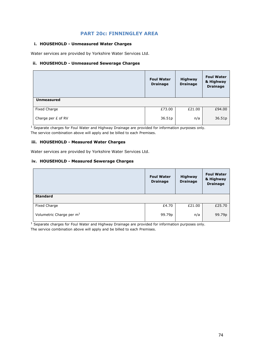### **PART 20c: FINNINGLEY AREA**

#### **i. HOUSEHOLD - Unmeasured Water Charges**

Water services are provided by Yorkshire Water Services Ltd.

#### **ii. HOUSEHOLD - Unmeasured Sewerage Charges**

|                    | <b>Foul Water</b><br><b>Drainage</b> | <b>Highway</b><br><b>Drainage</b> | <b>Foul Water</b><br>& Highway<br><b>Drainage</b> |
|--------------------|--------------------------------------|-----------------------------------|---------------------------------------------------|
| <b>Unmeasured</b>  |                                      |                                   |                                                   |
| Fixed Charge       | £73.00                               | £21.00                            | £94.00                                            |
| Charge per £ of RV | 36.51p                               | n/a                               | 36.51p                                            |

<sup>1</sup> Separate charges for Foul Water and Highway Drainage are provided for information purposes only. The service combination above will apply and be billed to each Premises.

### **iii. HOUSEHOLD - Measured Water Charges**

Water services are provided by Yorkshire Water Services Ltd.

#### **iv. HOUSEHOLD - Measured Sewerage Charges**

|                                      | <b>Foul Water</b><br><b>Drainage</b> | Highway<br><b>Drainage</b> | <b>Foul Water</b><br>& Highway<br><b>Drainage</b> |
|--------------------------------------|--------------------------------------|----------------------------|---------------------------------------------------|
| <b>Standard</b>                      |                                      |                            |                                                   |
| <b>Fixed Charge</b>                  | £4.70                                | £21.00                     | £25.70                                            |
| Volumetric Charge per m <sup>3</sup> | 99.79p                               | n/a                        | 99.79p                                            |

<sup>1</sup> Separate charges for Foul Water and Highway Drainage are provided for information purposes only. The service combination above will apply and be billed to each Premises.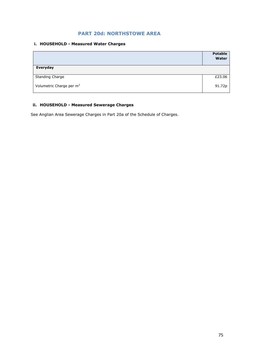## **PART 20d: NORTHSTOWE AREA**

#### **i. HOUSEHOLD - Measured Water Charges**

|                                      | <b>Potable</b><br>Water |
|--------------------------------------|-------------------------|
| Everyday                             |                         |
| <b>Standing Charge</b>               | £23.06                  |
| Volumetric Charge per m <sup>3</sup> | 91.72p                  |

### **ii. HOUSEHOLD - Measured Sewerage Charges**

See Anglian Area Sewerage Charges in Part 20a of the Schedule of Charges.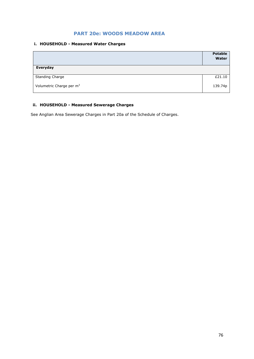## **PART 20e: WOODS MEADOW AREA**

#### **i. HOUSEHOLD - Measured Water Charges**

|                                      | <b>Potable</b><br>Water |
|--------------------------------------|-------------------------|
| Everyday                             |                         |
| <b>Standing Charge</b>               | £21.10                  |
| Volumetric Charge per m <sup>3</sup> | 139.74p                 |

### **ii. HOUSEHOLD - Measured Sewerage Charges**

See Anglian Area Sewerage Charges in Part 20a of the Schedule of Charges.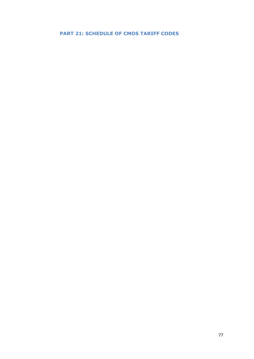## **PART 21: SCHEDULE OF CMOS TARIFF CODES**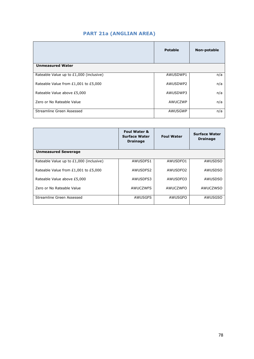## **PART 21a (ANGLIAN AREA)**

|                                         | <b>Potable</b> | Non-potable |
|-----------------------------------------|----------------|-------------|
| <b>Unmeasured Water</b>                 |                |             |
| Rateable Value up to £1,000 (inclusive) | AWUSDWP1       | n/a         |
| Rateable Value from £1,001 to £5,000    | AWUSDWP2       | n/a         |
| Rateable Value above £5,000             | AWUSDWP3       | n/a         |
| Zero or No Rateable Value               | AWUCZWP        | n/a         |
| Streamline Green Assessed               | AWUSGWP        | n/a         |

|                                         | <b>Foul Water &amp;</b><br><b>Surface Water</b><br><b>Drainage</b> | <b>Foul Water</b> | <b>Surface Water</b><br><b>Drainage</b> |
|-----------------------------------------|--------------------------------------------------------------------|-------------------|-----------------------------------------|
| <b>Unmeasured Sewerage</b>              |                                                                    |                   |                                         |
| Rateable Value up to £1,000 (inclusive) | AWUSDFS1                                                           | AWUSDFO1          | AWUSDSO                                 |
| Rateable Value from £1,001 to £5,000    | AWUSDES2                                                           | AWUSDE02          | AWUSDSO                                 |
| Rateable Value above £5,000             | AWUSDFS3                                                           | AWUSDFO3          | AWUSDSO                                 |
| Zero or No Rateable Value               | <b>AWUCZWFS</b>                                                    | AWUCZWFO          | AWUCZWSO                                |
| Streamline Green Assessed               | AWUSGFS                                                            | AWUSGFO           | <b>AWUSGSO</b>                          |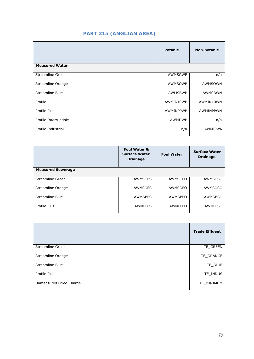## **PART 21a (ANGLIAN AREA)**

|                        | <b>Potable</b> | Non-potable |
|------------------------|----------------|-------------|
| <b>Measured Water</b>  |                |             |
| Streamline Green       | AWMSGWP        | n/a         |
| Streamline Orange      | AWMSOWP        | AWMSOWN     |
| <b>Streamline Blue</b> | AWMSBWP        | AWMSBWN     |
| Profile                | AWMIN10WP      | AWMIN10WN   |
| Profile Plus           | AWMINPPWP      | AWMINPPWN   |
| Profile Interruptible  | AWMIIWP        | n/a         |
| Profile Industrial     | n/a            | AWMIPWN     |
|                        |                |             |

|                          | <b>Foul Water &amp;</b><br><b>Surface Water</b><br><b>Drainage</b> | <b>Foul Water</b> | <b>Surface Water</b><br><b>Drainage</b> |
|--------------------------|--------------------------------------------------------------------|-------------------|-----------------------------------------|
| <b>Measured Sewerage</b> |                                                                    |                   |                                         |
| Streamline Green         | AWMSGFS                                                            | <b>AWMSGFO</b>    | <b>AWMSGSO</b>                          |
| Streamline Orange        | AWMSOFS                                                            | AWMSOFO           | <b>AWMSOSO</b>                          |
| Streamline Blue          | <b>AWMSBFS</b>                                                     | <b>AWMSBFO</b>    | <b>AWMSBSO</b>                          |
| Profile Plus             | <b>AWMPPFS</b>                                                     | <b>AWMPPFO</b>    | <b>AWMPPSO</b>                          |

|                         | <b>Trade Effluent</b> |
|-------------------------|-----------------------|
| Streamline Green        | TE_GREEN              |
| Streamline Orange       | TE_ORANGE             |
| Streamline Blue         | TE_BLUE               |
| Profile Plus            | TE INDUS              |
| Unmeasured Fixed Charge | TE MINIMUM            |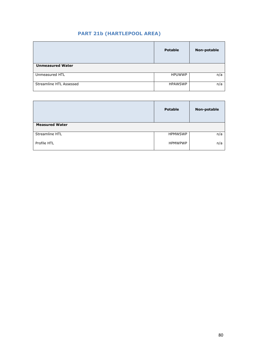## **PART 21b (HARTLEPOOL AREA)**

|                         | <b>Potable</b> | <b>Non-potable</b> |
|-------------------------|----------------|--------------------|
| <b>Unmeasured Water</b> |                |                    |
| Unmeasured HTL          | <b>HPUWWP</b>  | n/a                |
| Streamline HTL Assessed | <b>HPAWSWP</b> | n/a                |

|                       | <b>Potable</b> | <b>Non-potable</b> |
|-----------------------|----------------|--------------------|
| <b>Measured Water</b> |                |                    |
| Streamline HTL        | <b>HPMWSWP</b> | n/a                |
| Profile HTL           | <b>HPMWPWP</b> | n/a                |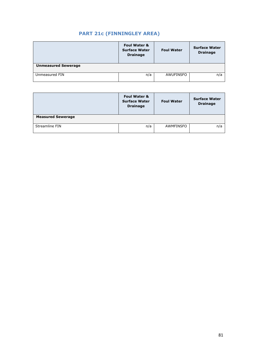## **PART 21c (FINNINGLEY AREA)**

|                            | <b>Foul Water &amp;</b><br><b>Surface Water</b><br><b>Drainage</b> | <b>Foul Water</b> | <b>Surface Water</b><br><b>Drainage</b> |
|----------------------------|--------------------------------------------------------------------|-------------------|-----------------------------------------|
| <b>Unmeasured Sewerage</b> |                                                                    |                   |                                         |
| Unmeasured FIN             | n/a                                                                | AWUFINSFO         | n/a                                     |

|                          | <b>Foul Water &amp;</b><br><b>Surface Water</b><br><b>Drainage</b> | <b>Foul Water</b> | <b>Surface Water</b><br><b>Drainage</b> |
|--------------------------|--------------------------------------------------------------------|-------------------|-----------------------------------------|
| <b>Measured Sewerage</b> |                                                                    |                   |                                         |
| Streamline FIN           | n/a                                                                | AWMFINSFO         | n/a                                     |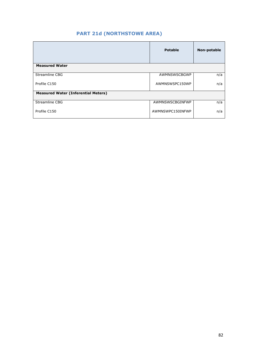## **PART 21d (NORTHSTOWE AREA)**

|                                            | <b>Potable</b>   | Non-potable |
|--------------------------------------------|------------------|-------------|
| <b>Measured Water</b>                      |                  |             |
| <b>Streamline CBG</b>                      | AWMNSWSCBGWP     | n/a         |
| Profile C150                               | AWMNSWSPC150WP   | n/a         |
| <b>Measured Water (Inferential Meters)</b> |                  |             |
| <b>Streamline CBG</b>                      | AWMNSWSCBGINFWP  | n/a         |
| Profile C150                               | AWMNSWPC150INFWP | n/a         |